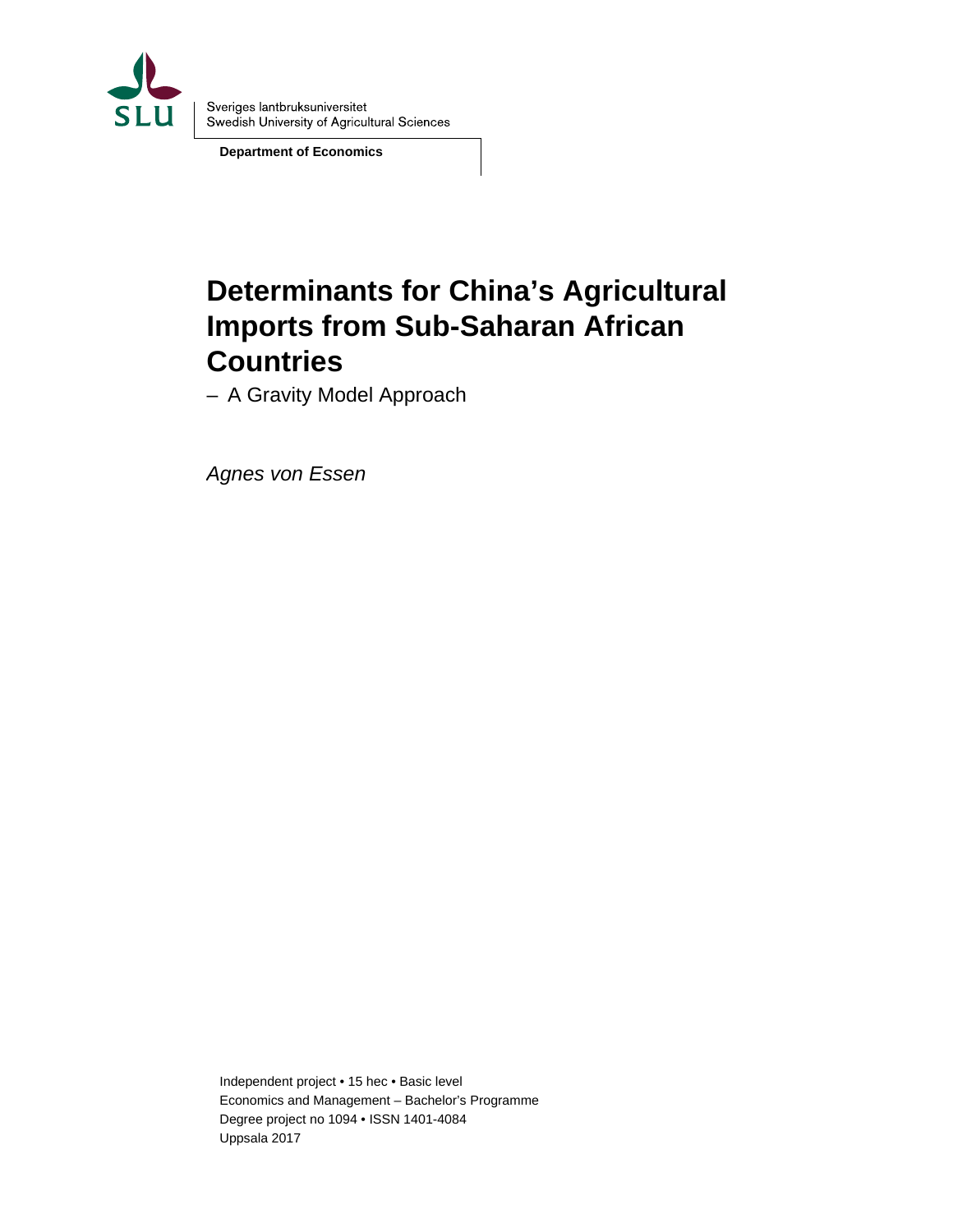

**Department of Economics** 

# **Determinants for China's Agricultural Imports from Sub-Saharan African Countries**

– A Gravity Model Approach

*Agnes von Essen* 

Independent project • 15 hec • Basic level Economics and Management – Bachelor's Programme Degree project no 1094 • ISSN 1401-4084 Uppsala 2017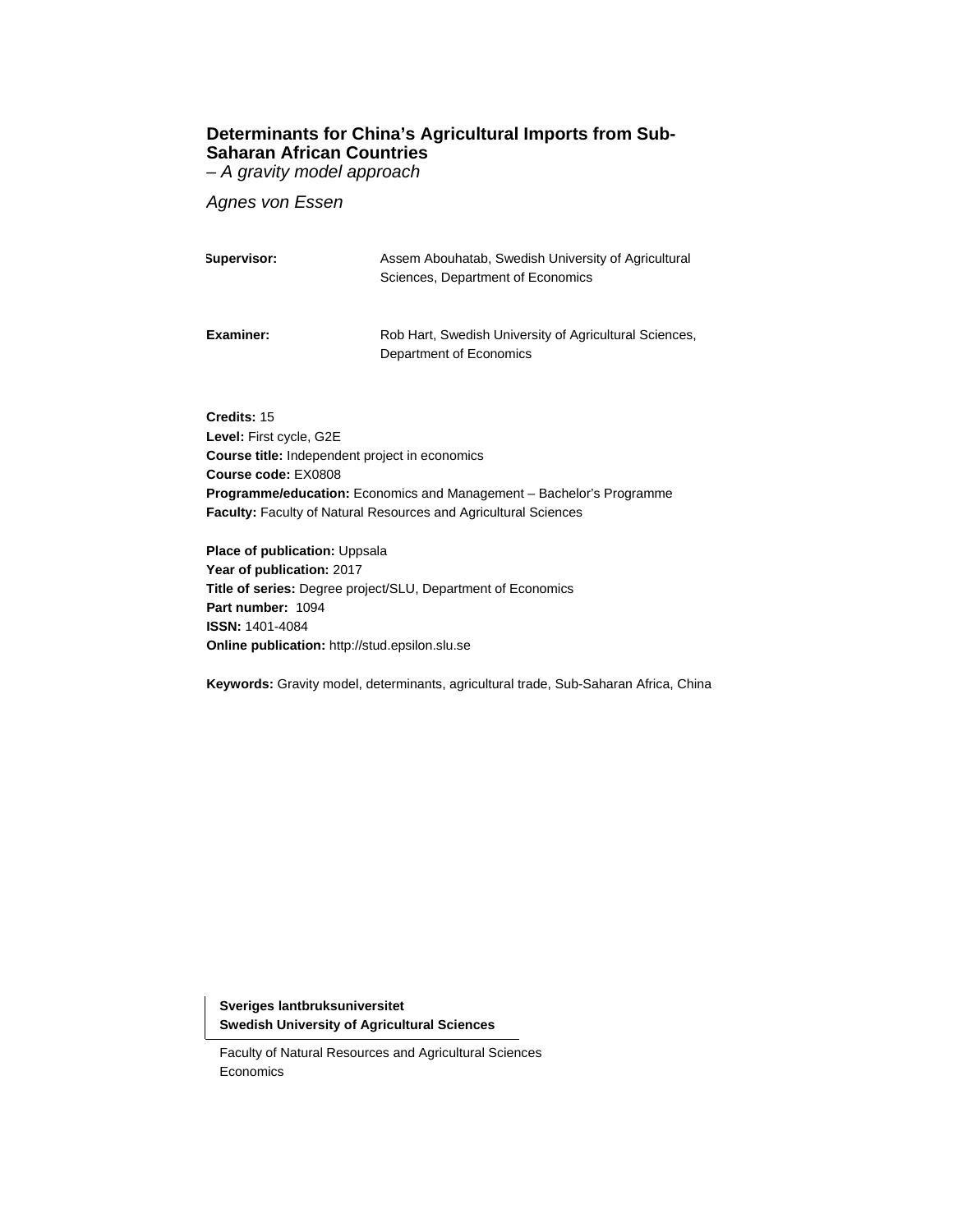# **Determinants for China's Agricultural Imports from Sub-Saharan African Countries**  *– A gravity model approach*

*Agnes von Essen* 

| Supervisor: | Assem Abouhatab, Swedish University of Agricultural<br>Sciences, Department of Economics |
|-------------|------------------------------------------------------------------------------------------|
| Examiner:   | Rob Hart, Swedish University of Agricultural Sciences,<br>Department of Economics        |

**Credits:** 15 **Level:** First cycle, G2E **Course title:** Independent project in economics **Course code:** EX0808 **Programme/education:** Economics and Management – Bachelor's Programme **Faculty:** Faculty of Natural Resources and Agricultural Sciences

**Place of publication: Uppsala Year of publication:** 2017 **Title of series:** Degree project/SLU, Department of Economics **Part number:** 1094 **ISSN:** 1401-4084 **Online publication:** http://stud.epsilon.slu.se

**Keywords:** Gravity model, determinants, agricultural trade, Sub-Saharan Africa, China

**Sveriges lantbruksuniversitet Swedish University of Agricultural Sciences** 

Faculty of Natural Resources and Agricultural Sciences Economics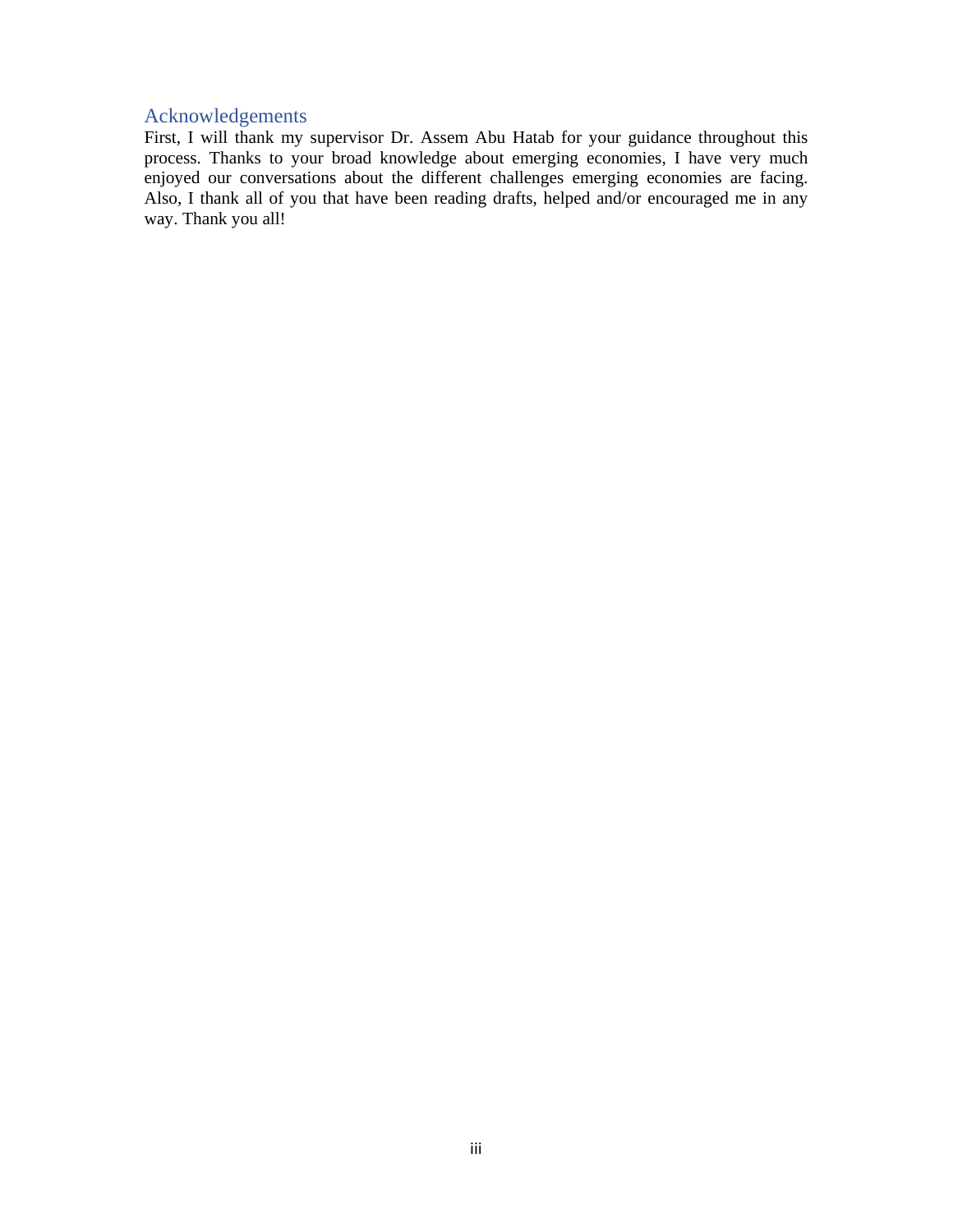# Acknowledgements

First, I will thank my supervisor Dr. Assem Abu Hatab for your guidance throughout this process. Thanks to your broad knowledge about emerging economies, I have very much enjoyed our conversations about the different challenges emerging economies are facing. Also, I thank all of you that have been reading drafts, helped and/or encouraged me in any way. Thank you all!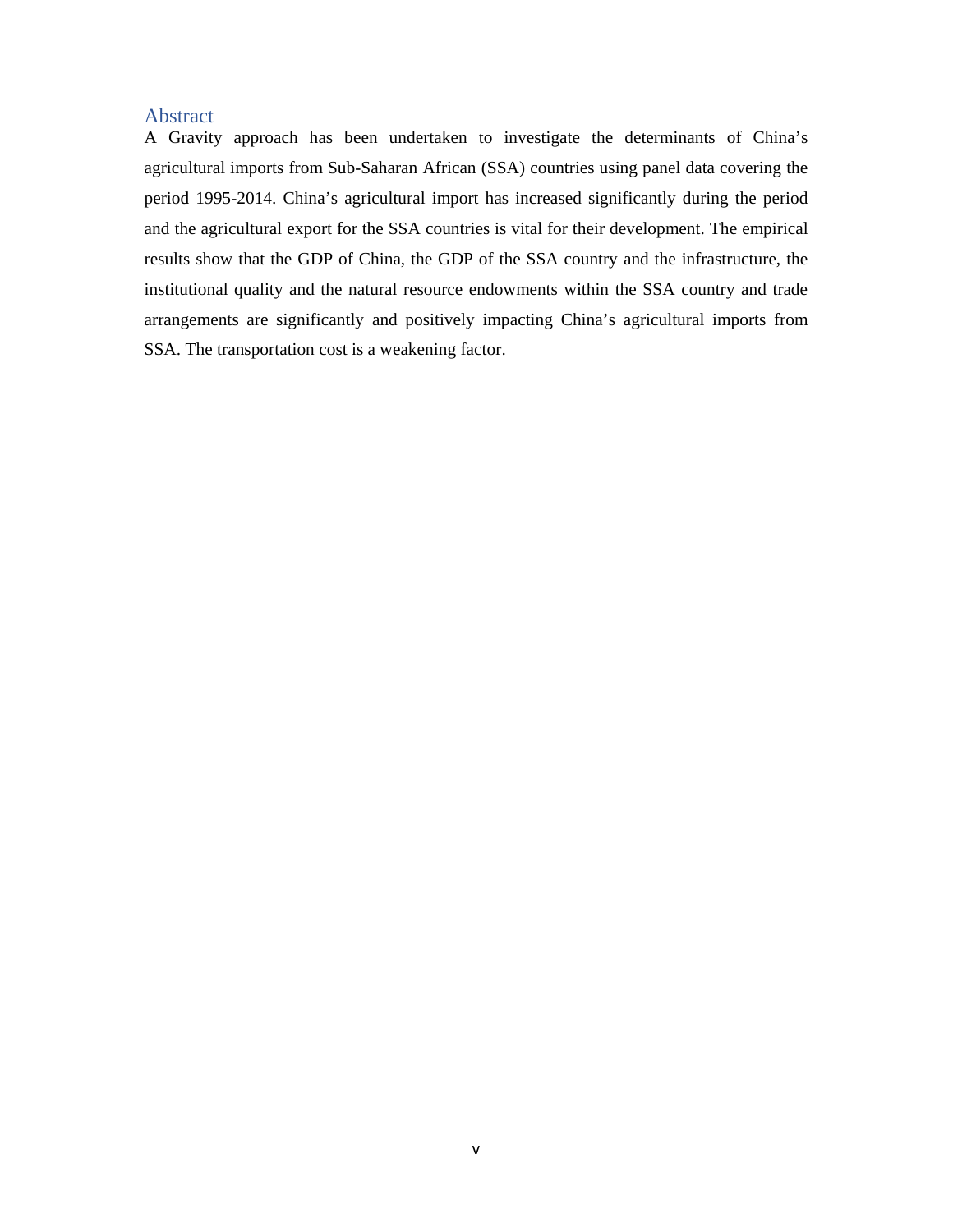# Abstract

A Gravity approach has been undertaken to investigate the determinants of China's agricultural imports from Sub-Saharan African (SSA) countries using panel data covering the period 1995-2014. China's agricultural import has increased significantly during the period and the agricultural export for the SSA countries is vital for their development. The empirical results show that the GDP of China, the GDP of the SSA country and the infrastructure, the institutional quality and the natural resource endowments within the SSA country and trade arrangements are significantly and positively impacting China's agricultural imports from SSA. The transportation cost is a weakening factor.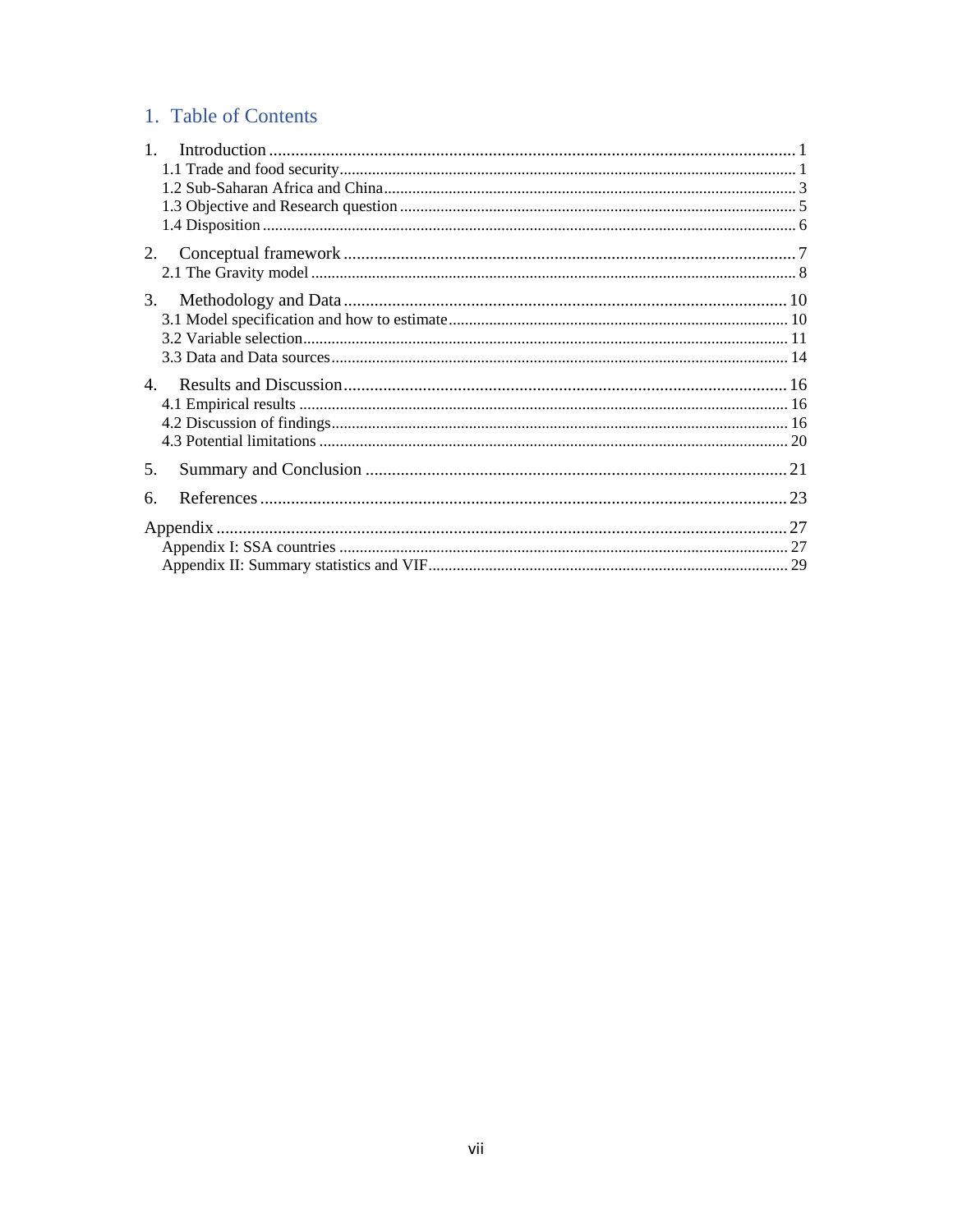# 1. Table of Contents

| 1. |  |
|----|--|
|    |  |
|    |  |
|    |  |
|    |  |
| 2. |  |
|    |  |
| 3. |  |
|    |  |
|    |  |
|    |  |
|    |  |
|    |  |
|    |  |
|    |  |
| 5. |  |
| 6. |  |
|    |  |
|    |  |
|    |  |
|    |  |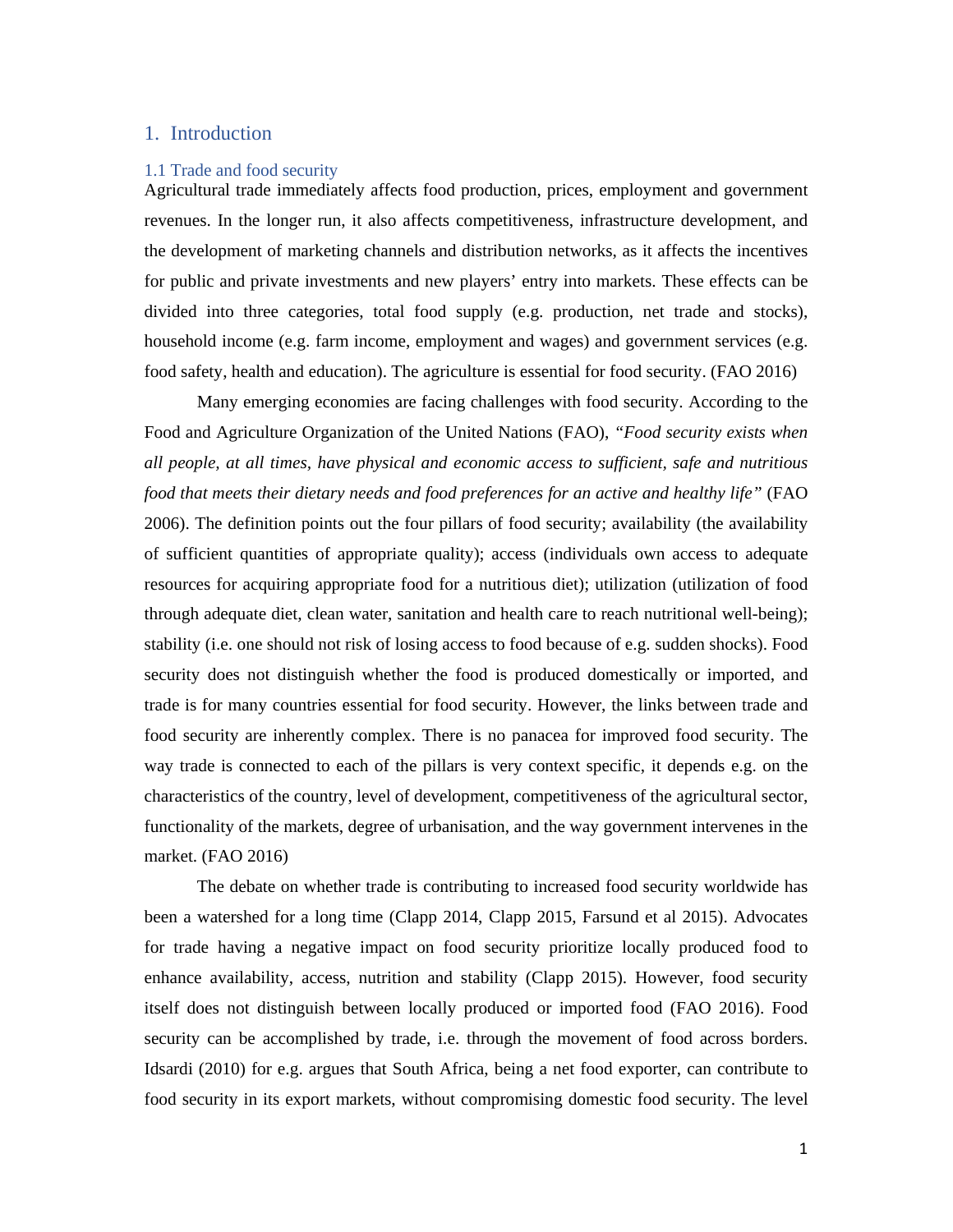# 1. Introduction

#### 1.1 Trade and food security

Agricultural trade immediately affects food production, prices, employment and government revenues. In the longer run, it also affects competitiveness, infrastructure development, and the development of marketing channels and distribution networks, as it affects the incentives for public and private investments and new players' entry into markets. These effects can be divided into three categories, total food supply (e.g. production, net trade and stocks), household income (e.g. farm income, employment and wages) and government services (e.g. food safety, health and education). The agriculture is essential for food security. (FAO 2016)

 Many emerging economies are facing challenges with food security. According to the Food and Agriculture Organization of the United Nations (FAO), *"Food security exists when all people, at all times, have physical and economic access to sufficient, safe and nutritious food that meets their dietary needs and food preferences for an active and healthy life"* (FAO 2006). The definition points out the four pillars of food security; availability (the availability of sufficient quantities of appropriate quality); access (individuals own access to adequate resources for acquiring appropriate food for a nutritious diet); utilization (utilization of food through adequate diet, clean water, sanitation and health care to reach nutritional well-being); stability (i.e. one should not risk of losing access to food because of e.g. sudden shocks). Food security does not distinguish whether the food is produced domestically or imported, and trade is for many countries essential for food security. However, the links between trade and food security are inherently complex. There is no panacea for improved food security. The way trade is connected to each of the pillars is very context specific, it depends e.g. on the characteristics of the country, level of development, competitiveness of the agricultural sector, functionality of the markets, degree of urbanisation, and the way government intervenes in the market. (FAO 2016)

The debate on whether trade is contributing to increased food security worldwide has been a watershed for a long time (Clapp 2014, Clapp 2015, Farsund et al 2015). Advocates for trade having a negative impact on food security prioritize locally produced food to enhance availability, access, nutrition and stability (Clapp 2015). However, food security itself does not distinguish between locally produced or imported food (FAO 2016). Food security can be accomplished by trade, i.e. through the movement of food across borders. Idsardi (2010) for e.g. argues that South Africa, being a net food exporter, can contribute to food security in its export markets, without compromising domestic food security. The level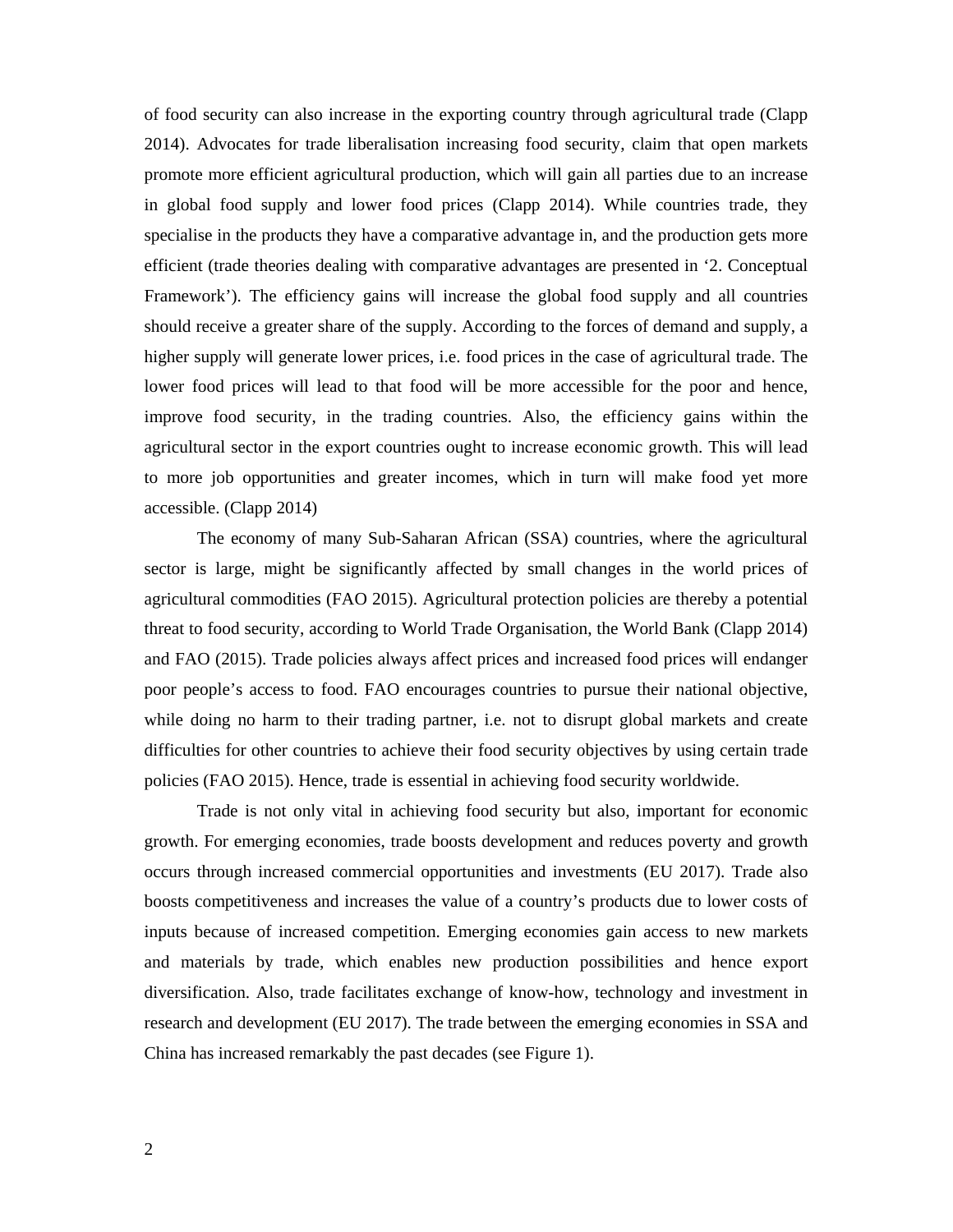of food security can also increase in the exporting country through agricultural trade (Clapp 2014). Advocates for trade liberalisation increasing food security, claim that open markets promote more efficient agricultural production, which will gain all parties due to an increase in global food supply and lower food prices (Clapp 2014). While countries trade, they specialise in the products they have a comparative advantage in, and the production gets more efficient (trade theories dealing with comparative advantages are presented in '2. Conceptual Framework'). The efficiency gains will increase the global food supply and all countries should receive a greater share of the supply. According to the forces of demand and supply, a higher supply will generate lower prices, i.e. food prices in the case of agricultural trade. The lower food prices will lead to that food will be more accessible for the poor and hence, improve food security, in the trading countries. Also, the efficiency gains within the agricultural sector in the export countries ought to increase economic growth. This will lead to more job opportunities and greater incomes, which in turn will make food yet more accessible. (Clapp 2014)

The economy of many Sub-Saharan African (SSA) countries, where the agricultural sector is large, might be significantly affected by small changes in the world prices of agricultural commodities (FAO 2015). Agricultural protection policies are thereby a potential threat to food security, according to World Trade Organisation, the World Bank (Clapp 2014) and FAO (2015). Trade policies always affect prices and increased food prices will endanger poor people's access to food. FAO encourages countries to pursue their national objective, while doing no harm to their trading partner, i.e. not to disrupt global markets and create difficulties for other countries to achieve their food security objectives by using certain trade policies (FAO 2015). Hence, trade is essential in achieving food security worldwide.

 Trade is not only vital in achieving food security but also, important for economic growth. For emerging economies, trade boosts development and reduces poverty and growth occurs through increased commercial opportunities and investments (EU 2017). Trade also boosts competitiveness and increases the value of a country's products due to lower costs of inputs because of increased competition. Emerging economies gain access to new markets and materials by trade, which enables new production possibilities and hence export diversification. Also, trade facilitates exchange of know-how, technology and investment in research and development (EU 2017). The trade between the emerging economies in SSA and China has increased remarkably the past decades (see Figure 1).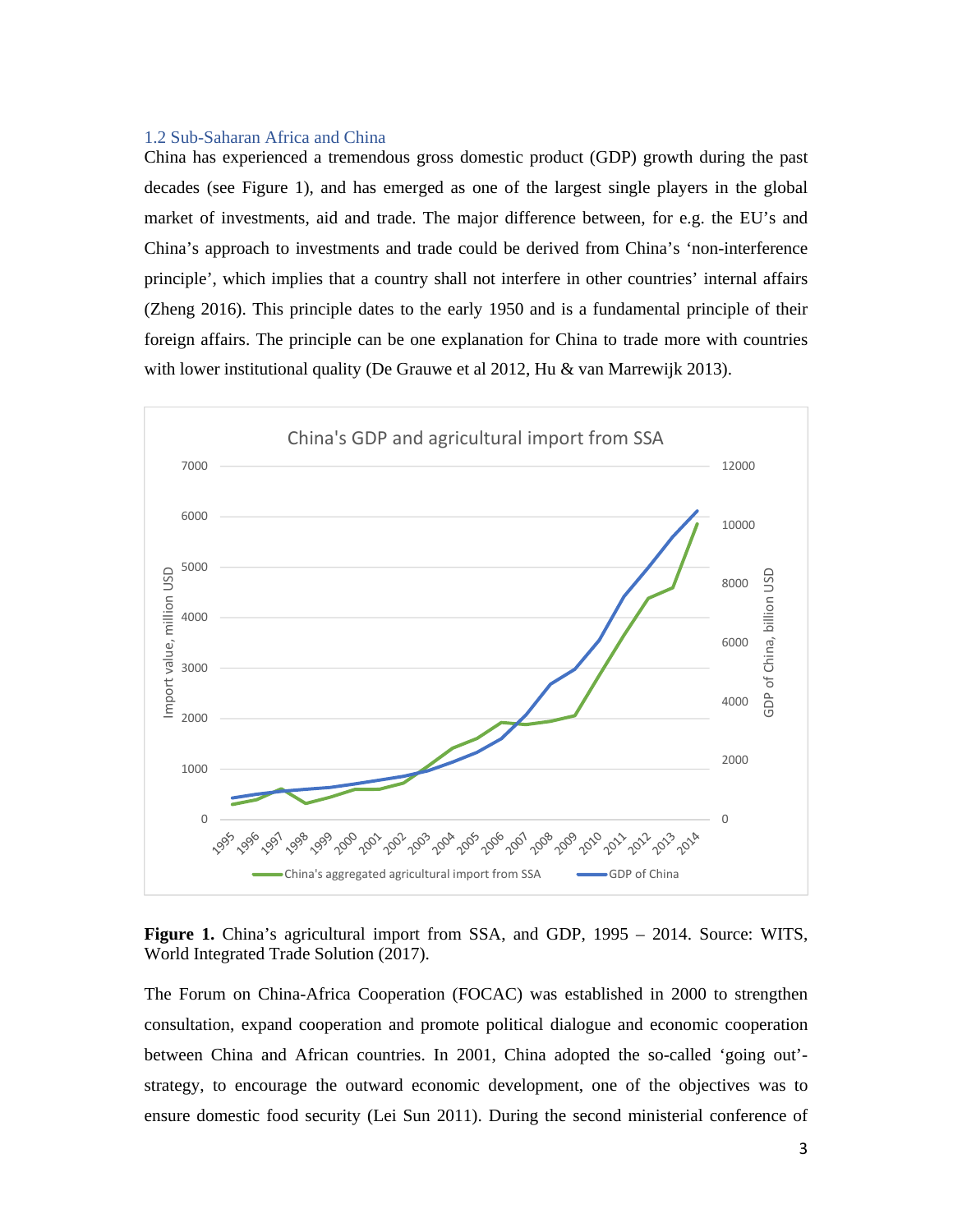# 1.2 Sub-Saharan Africa and China

China has experienced a tremendous gross domestic product (GDP) growth during the past decades (see Figure 1), and has emerged as one of the largest single players in the global market of investments, aid and trade. The major difference between, for e.g. the EU's and China's approach to investments and trade could be derived from China's 'non-interference principle', which implies that a country shall not interfere in other countries' internal affairs (Zheng 2016). This principle dates to the early 1950 and is a fundamental principle of their foreign affairs. The principle can be one explanation for China to trade more with countries with lower institutional quality (De Grauwe et al 2012, Hu & van Marrewijk 2013).



**Figure 1.** China's agricultural import from SSA, and GDP, 1995 – 2014. Source: WITS, World Integrated Trade Solution (2017).

The Forum on China-Africa Cooperation (FOCAC) was established in 2000 to strengthen consultation, expand cooperation and promote political dialogue and economic cooperation between China and African countries. In 2001, China adopted the so-called 'going out' strategy, to encourage the outward economic development, one of the objectives was to ensure domestic food security (Lei Sun 2011). During the second ministerial conference of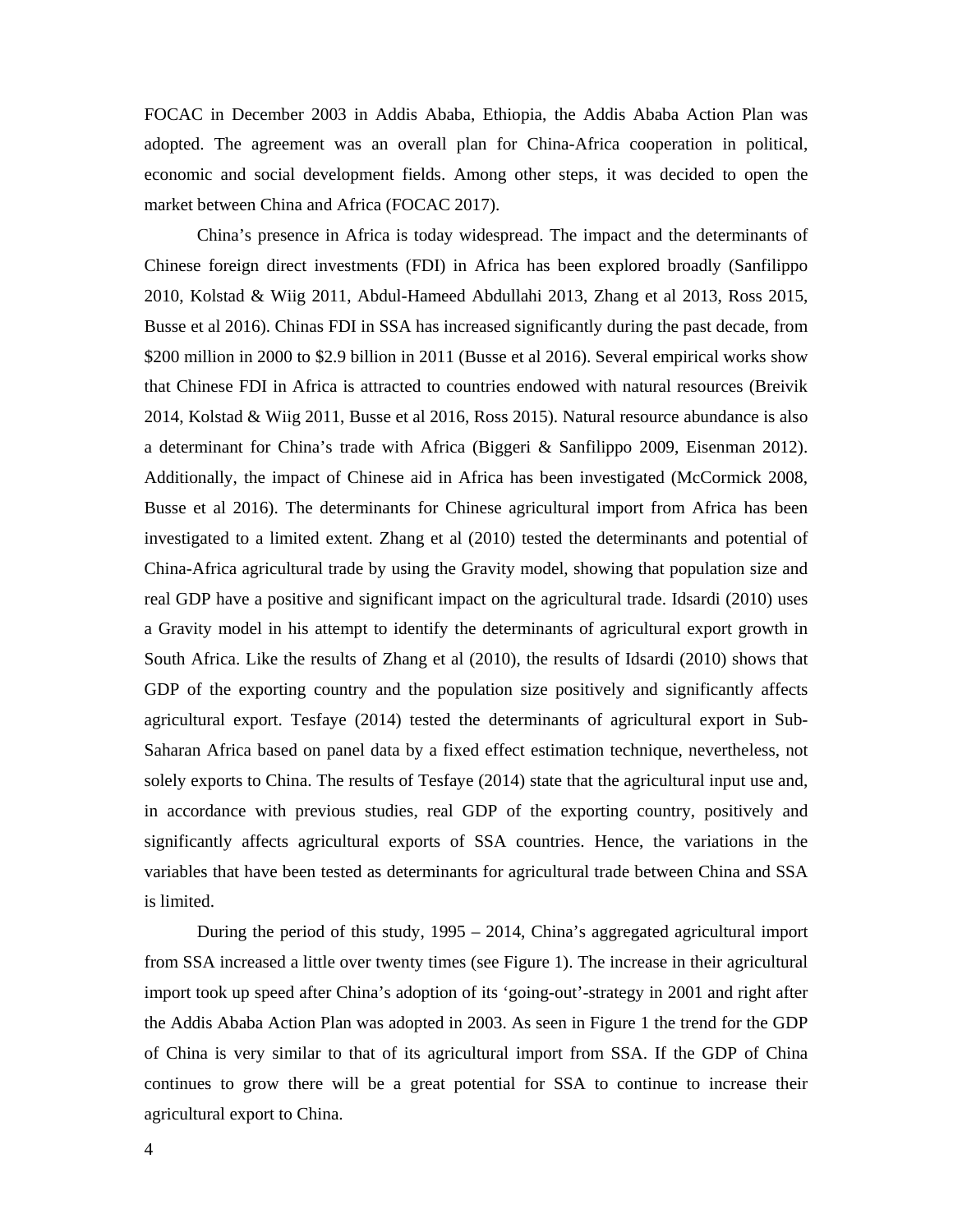FOCAC in December 2003 in Addis Ababa, Ethiopia, the Addis Ababa Action Plan was adopted. The agreement was an overall plan for China-Africa cooperation in political, economic and social development fields. Among other steps, it was decided to open the market between China and Africa (FOCAC 2017).

China's presence in Africa is today widespread. The impact and the determinants of Chinese foreign direct investments (FDI) in Africa has been explored broadly (Sanfilippo 2010, Kolstad & Wiig 2011, Abdul-Hameed Abdullahi 2013, Zhang et al 2013, Ross 2015, Busse et al 2016). Chinas FDI in SSA has increased significantly during the past decade, from \$200 million in 2000 to \$2.9 billion in 2011 (Busse et al 2016). Several empirical works show that Chinese FDI in Africa is attracted to countries endowed with natural resources (Breivik 2014, Kolstad & Wiig 2011, Busse et al 2016, Ross 2015). Natural resource abundance is also a determinant for China's trade with Africa (Biggeri & Sanfilippo 2009, Eisenman 2012). Additionally, the impact of Chinese aid in Africa has been investigated (McCormick 2008, Busse et al 2016). The determinants for Chinese agricultural import from Africa has been investigated to a limited extent. Zhang et al (2010) tested the determinants and potential of China-Africa agricultural trade by using the Gravity model, showing that population size and real GDP have a positive and significant impact on the agricultural trade. Idsardi (2010) uses a Gravity model in his attempt to identify the determinants of agricultural export growth in South Africa. Like the results of Zhang et al (2010), the results of Idsardi (2010) shows that GDP of the exporting country and the population size positively and significantly affects agricultural export. Tesfaye (2014) tested the determinants of agricultural export in Sub-Saharan Africa based on panel data by a fixed effect estimation technique, nevertheless, not solely exports to China. The results of Tesfaye (2014) state that the agricultural input use and, in accordance with previous studies, real GDP of the exporting country, positively and significantly affects agricultural exports of SSA countries. Hence, the variations in the variables that have been tested as determinants for agricultural trade between China and SSA is limited.

During the period of this study, 1995 – 2014, China's aggregated agricultural import from SSA increased a little over twenty times (see Figure 1). The increase in their agricultural import took up speed after China's adoption of its 'going-out'-strategy in 2001 and right after the Addis Ababa Action Plan was adopted in 2003. As seen in Figure 1 the trend for the GDP of China is very similar to that of its agricultural import from SSA. If the GDP of China continues to grow there will be a great potential for SSA to continue to increase their agricultural export to China.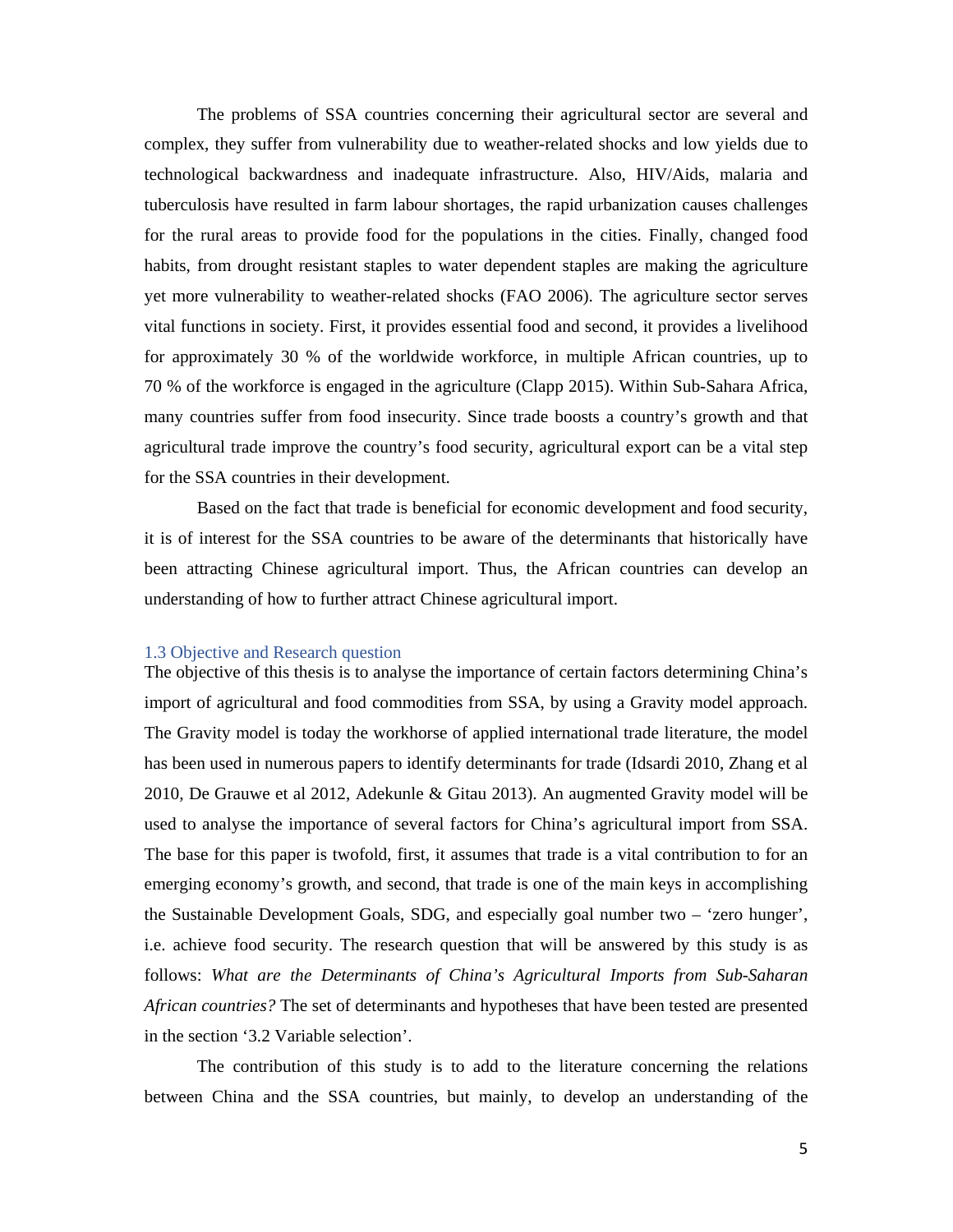The problems of SSA countries concerning their agricultural sector are several and complex, they suffer from vulnerability due to weather-related shocks and low yields due to technological backwardness and inadequate infrastructure. Also, HIV/Aids, malaria and tuberculosis have resulted in farm labour shortages, the rapid urbanization causes challenges for the rural areas to provide food for the populations in the cities. Finally, changed food habits, from drought resistant staples to water dependent staples are making the agriculture yet more vulnerability to weather-related shocks (FAO 2006). The agriculture sector serves vital functions in society. First, it provides essential food and second, it provides a livelihood for approximately 30 % of the worldwide workforce, in multiple African countries, up to 70 % of the workforce is engaged in the agriculture (Clapp 2015). Within Sub-Sahara Africa, many countries suffer from food insecurity. Since trade boosts a country's growth and that agricultural trade improve the country's food security, agricultural export can be a vital step for the SSA countries in their development.

Based on the fact that trade is beneficial for economic development and food security, it is of interest for the SSA countries to be aware of the determinants that historically have been attracting Chinese agricultural import. Thus, the African countries can develop an understanding of how to further attract Chinese agricultural import.

#### 1.3 Objective and Research question

The objective of this thesis is to analyse the importance of certain factors determining China's import of agricultural and food commodities from SSA, by using a Gravity model approach. The Gravity model is today the workhorse of applied international trade literature, the model has been used in numerous papers to identify determinants for trade (Idsardi 2010, Zhang et al 2010, De Grauwe et al 2012, Adekunle & Gitau 2013). An augmented Gravity model will be used to analyse the importance of several factors for China's agricultural import from SSA. The base for this paper is twofold, first, it assumes that trade is a vital contribution to for an emerging economy's growth, and second, that trade is one of the main keys in accomplishing the Sustainable Development Goals, SDG, and especially goal number two – 'zero hunger', i.e. achieve food security. The research question that will be answered by this study is as follows: *What are the Determinants of China's Agricultural Imports from Sub-Saharan African countries?* The set of determinants and hypotheses that have been tested are presented in the section '3.2 Variable selection'.

The contribution of this study is to add to the literature concerning the relations between China and the SSA countries, but mainly, to develop an understanding of the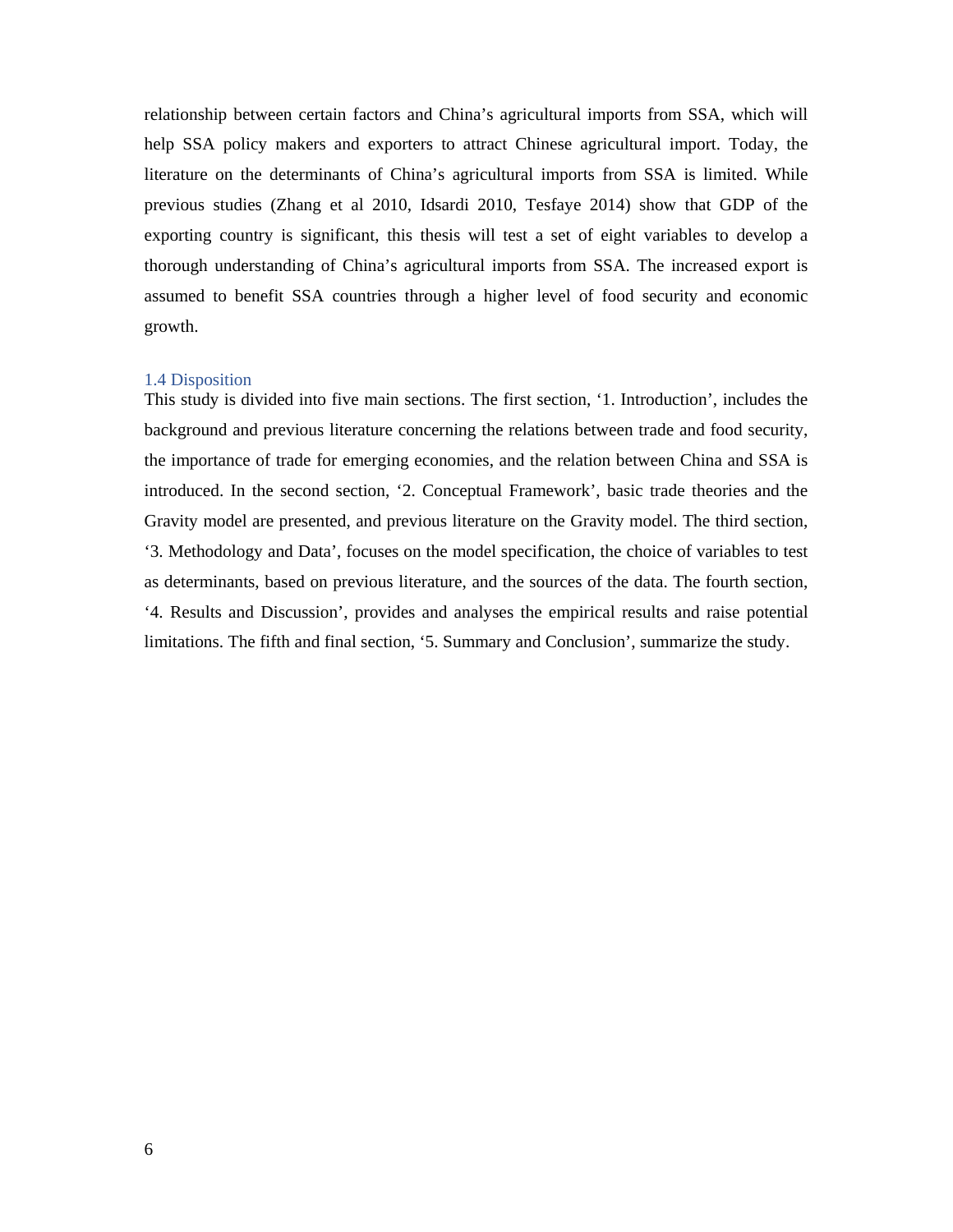relationship between certain factors and China's agricultural imports from SSA, which will help SSA policy makers and exporters to attract Chinese agricultural import. Today, the literature on the determinants of China's agricultural imports from SSA is limited. While previous studies (Zhang et al 2010, Idsardi 2010, Tesfaye 2014) show that GDP of the exporting country is significant, this thesis will test a set of eight variables to develop a thorough understanding of China's agricultural imports from SSA. The increased export is assumed to benefit SSA countries through a higher level of food security and economic growth.

#### 1.4 Disposition

This study is divided into five main sections. The first section, '1. Introduction', includes the background and previous literature concerning the relations between trade and food security, the importance of trade for emerging economies, and the relation between China and SSA is introduced. In the second section, '2. Conceptual Framework', basic trade theories and the Gravity model are presented, and previous literature on the Gravity model. The third section, '3. Methodology and Data', focuses on the model specification, the choice of variables to test as determinants, based on previous literature, and the sources of the data. The fourth section, '4. Results and Discussion', provides and analyses the empirical results and raise potential limitations. The fifth and final section, '5. Summary and Conclusion', summarize the study.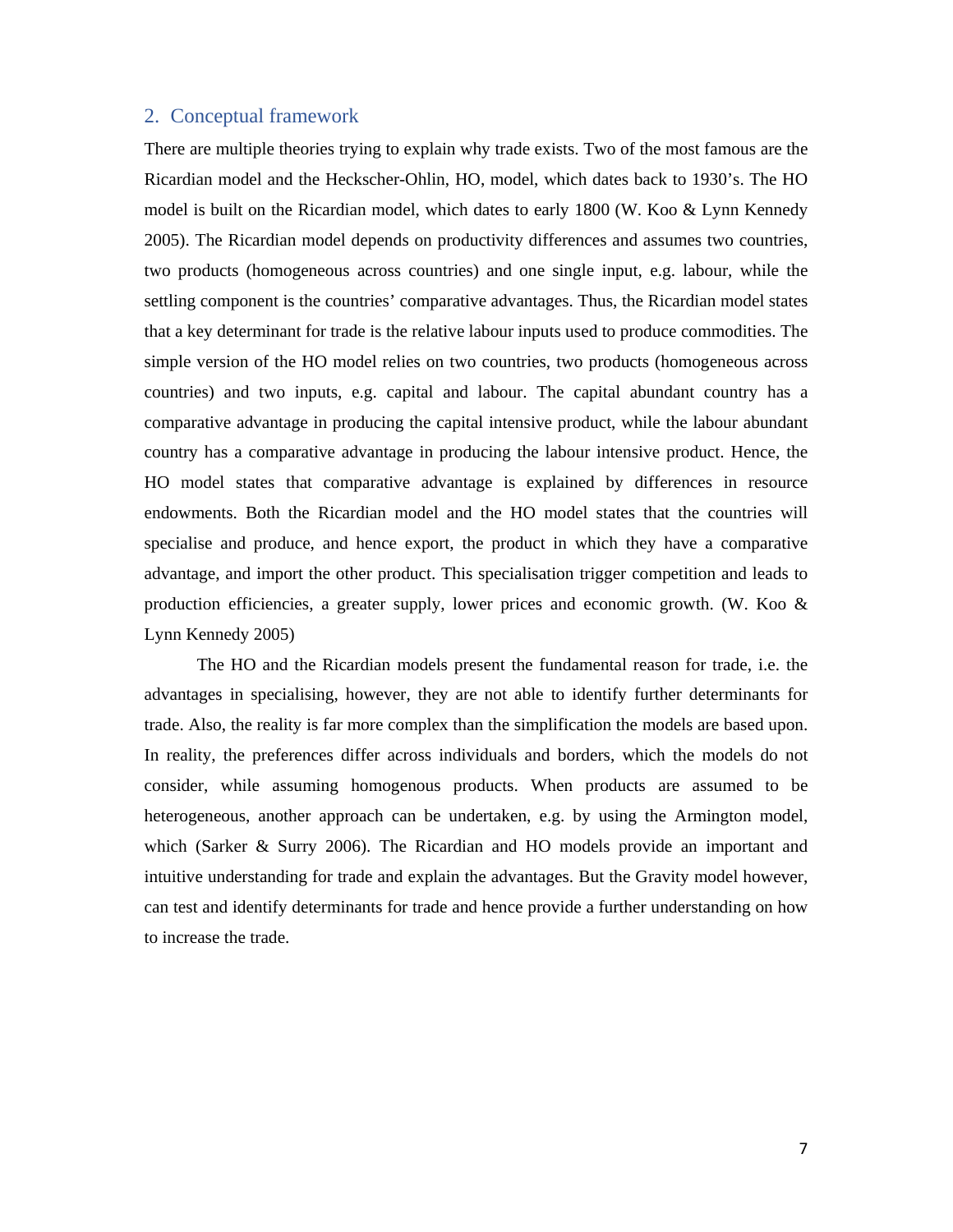# 2. Conceptual framework

There are multiple theories trying to explain why trade exists. Two of the most famous are the Ricardian model and the Heckscher-Ohlin, HO, model, which dates back to 1930's. The HO model is built on the Ricardian model, which dates to early 1800 (W. Koo & Lynn Kennedy 2005). The Ricardian model depends on productivity differences and assumes two countries, two products (homogeneous across countries) and one single input, e.g. labour, while the settling component is the countries' comparative advantages. Thus, the Ricardian model states that a key determinant for trade is the relative labour inputs used to produce commodities. The simple version of the HO model relies on two countries, two products (homogeneous across countries) and two inputs, e.g. capital and labour. The capital abundant country has a comparative advantage in producing the capital intensive product, while the labour abundant country has a comparative advantage in producing the labour intensive product. Hence, the HO model states that comparative advantage is explained by differences in resource endowments. Both the Ricardian model and the HO model states that the countries will specialise and produce, and hence export, the product in which they have a comparative advantage, and import the other product. This specialisation trigger competition and leads to production efficiencies, a greater supply, lower prices and economic growth. (W. Koo & Lynn Kennedy 2005)

The HO and the Ricardian models present the fundamental reason for trade, i.e. the advantages in specialising, however, they are not able to identify further determinants for trade. Also, the reality is far more complex than the simplification the models are based upon. In reality, the preferences differ across individuals and borders, which the models do not consider, while assuming homogenous products. When products are assumed to be heterogeneous, another approach can be undertaken, e.g. by using the Armington model, which (Sarker & Surry 2006). The Ricardian and HO models provide an important and intuitive understanding for trade and explain the advantages. But the Gravity model however, can test and identify determinants for trade and hence provide a further understanding on how to increase the trade.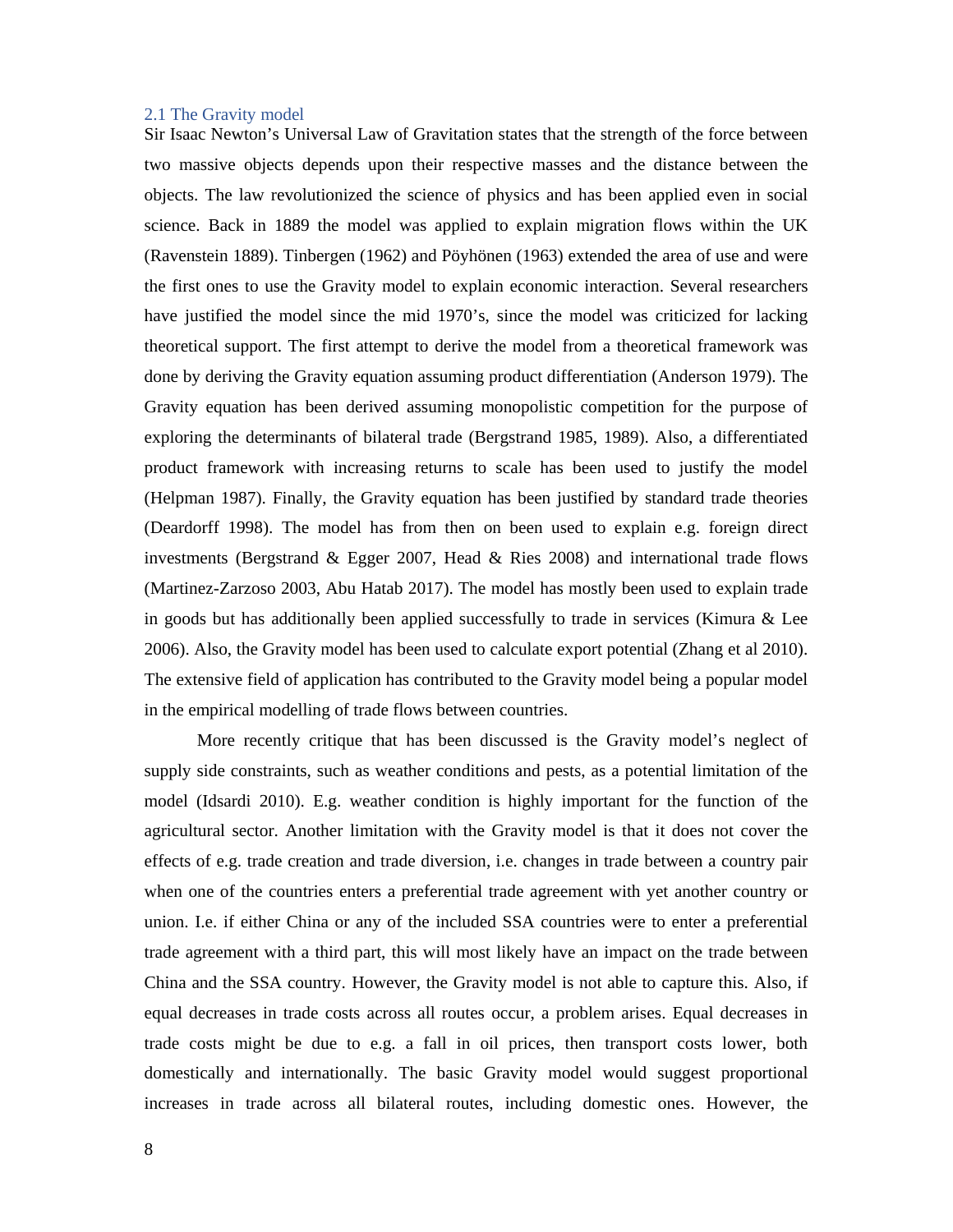#### 2.1 The Gravity model

Sir Isaac Newton's Universal Law of Gravitation states that the strength of the force between two massive objects depends upon their respective masses and the distance between the objects. The law revolutionized the science of physics and has been applied even in social science. Back in 1889 the model was applied to explain migration flows within the UK (Ravenstein 1889). Tinbergen (1962) and Pöyhönen (1963) extended the area of use and were the first ones to use the Gravity model to explain economic interaction. Several researchers have justified the model since the mid 1970's, since the model was criticized for lacking theoretical support. The first attempt to derive the model from a theoretical framework was done by deriving the Gravity equation assuming product differentiation (Anderson 1979). The Gravity equation has been derived assuming monopolistic competition for the purpose of exploring the determinants of bilateral trade (Bergstrand 1985, 1989). Also, a differentiated product framework with increasing returns to scale has been used to justify the model (Helpman 1987). Finally, the Gravity equation has been justified by standard trade theories (Deardorff 1998). The model has from then on been used to explain e.g. foreign direct investments (Bergstrand & Egger 2007, Head & Ries 2008) and international trade flows (Martinez-Zarzoso 2003, Abu Hatab 2017). The model has mostly been used to explain trade in goods but has additionally been applied successfully to trade in services (Kimura & Lee 2006). Also, the Gravity model has been used to calculate export potential (Zhang et al 2010). The extensive field of application has contributed to the Gravity model being a popular model in the empirical modelling of trade flows between countries.

More recently critique that has been discussed is the Gravity model's neglect of supply side constraints, such as weather conditions and pests, as a potential limitation of the model (Idsardi 2010). E.g. weather condition is highly important for the function of the agricultural sector. Another limitation with the Gravity model is that it does not cover the effects of e.g. trade creation and trade diversion, i.e. changes in trade between a country pair when one of the countries enters a preferential trade agreement with yet another country or union. I.e. if either China or any of the included SSA countries were to enter a preferential trade agreement with a third part, this will most likely have an impact on the trade between China and the SSA country. However, the Gravity model is not able to capture this. Also, if equal decreases in trade costs across all routes occur, a problem arises. Equal decreases in trade costs might be due to e.g. a fall in oil prices, then transport costs lower, both domestically and internationally. The basic Gravity model would suggest proportional increases in trade across all bilateral routes, including domestic ones. However, the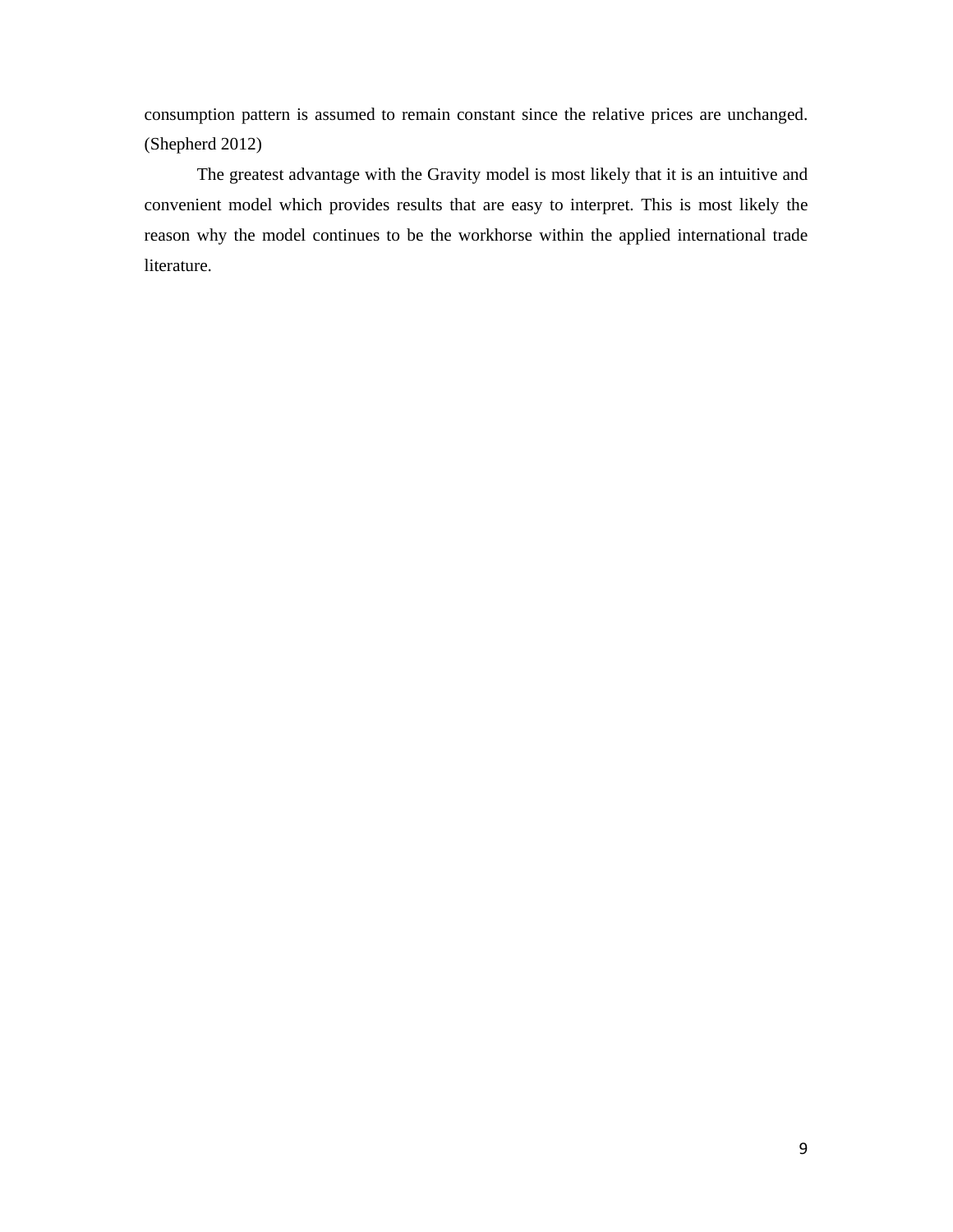consumption pattern is assumed to remain constant since the relative prices are unchanged. (Shepherd 2012)

The greatest advantage with the Gravity model is most likely that it is an intuitive and convenient model which provides results that are easy to interpret. This is most likely the reason why the model continues to be the workhorse within the applied international trade literature.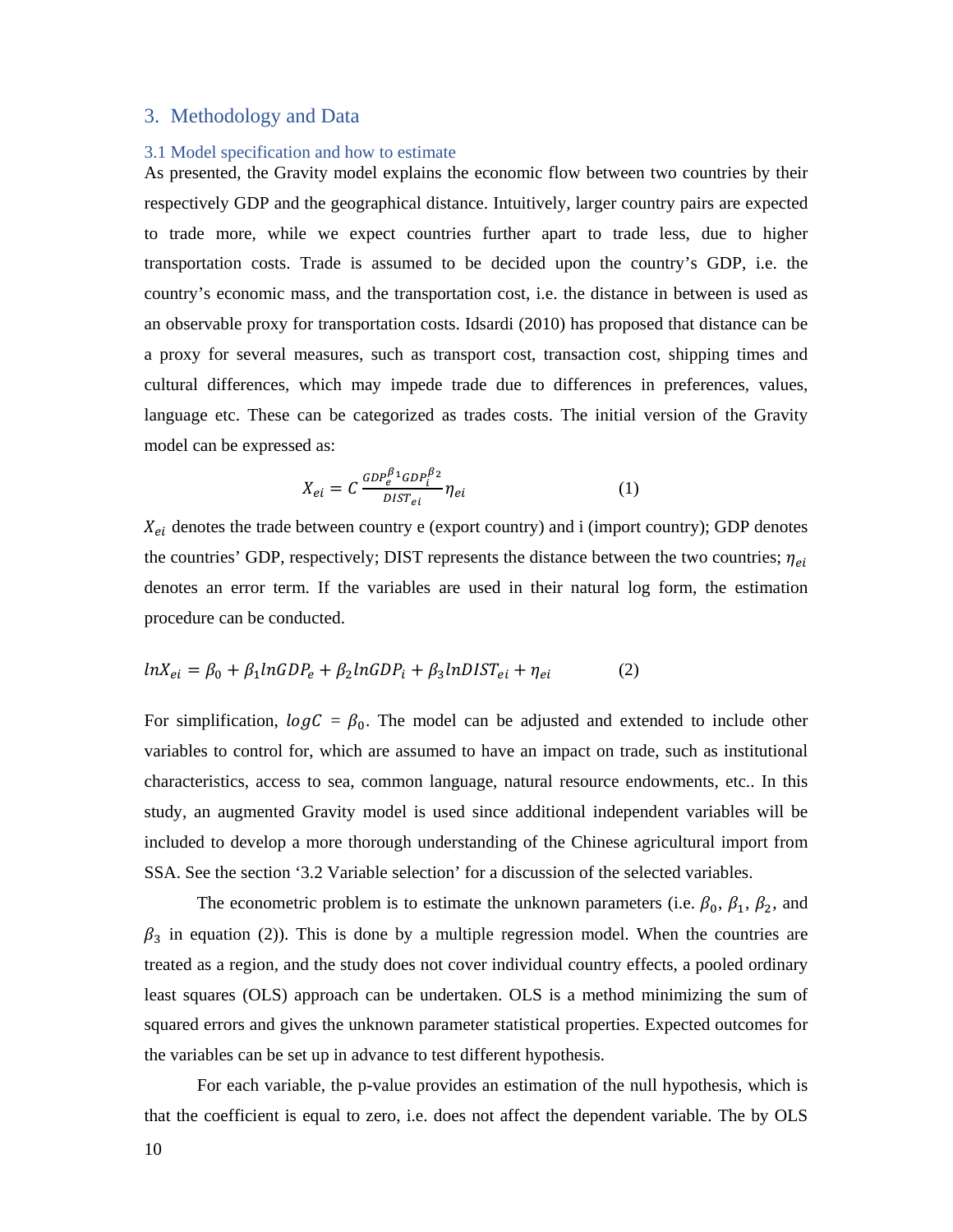# 3. Methodology and Data

#### 3.1 Model specification and how to estimate

As presented, the Gravity model explains the economic flow between two countries by their respectively GDP and the geographical distance. Intuitively, larger country pairs are expected to trade more, while we expect countries further apart to trade less, due to higher transportation costs. Trade is assumed to be decided upon the country's GDP, i.e. the country's economic mass, and the transportation cost, i.e. the distance in between is used as an observable proxy for transportation costs. Idsardi (2010) has proposed that distance can be a proxy for several measures, such as transport cost, transaction cost, shipping times and cultural differences, which may impede trade due to differences in preferences, values, language etc. These can be categorized as trades costs. The initial version of the Gravity model can be expressed as:

$$
X_{ei} = C \frac{GDP_e^{\beta_1} GDP_i^{\beta_2}}{DIST_{ei}} \eta_{ei}
$$
 (1)

 $X_{ei}$  denotes the trade between country e (export country) and i (import country); GDP denotes the countries' GDP, respectively; DIST represents the distance between the two countries;  $\eta_{ei}$ denotes an error term. If the variables are used in their natural log form, the estimation procedure can be conducted.

$$
ln X_{ei} = \beta_0 + \beta_1 ln GDP_e + \beta_2 ln GDP_i + \beta_3 lnDIST_{ei} + \eta_{ei}
$$
 (2)

For simplification,  $logC = \beta_0$ . The model can be adjusted and extended to include other variables to control for, which are assumed to have an impact on trade, such as institutional characteristics, access to sea, common language, natural resource endowments, etc.. In this study, an augmented Gravity model is used since additional independent variables will be included to develop a more thorough understanding of the Chinese agricultural import from SSA. See the section '3.2 Variable selection' for a discussion of the selected variables.

The econometric problem is to estimate the unknown parameters (i.e.  $\beta_0$ ,  $\beta_1$ ,  $\beta_2$ , and  $\beta_3$  in equation (2)). This is done by a multiple regression model. When the countries are treated as a region, and the study does not cover individual country effects, a pooled ordinary least squares (OLS) approach can be undertaken. OLS is a method minimizing the sum of squared errors and gives the unknown parameter statistical properties. Expected outcomes for the variables can be set up in advance to test different hypothesis.

For each variable, the p-value provides an estimation of the null hypothesis, which is that the coefficient is equal to zero, i.e. does not affect the dependent variable. The by OLS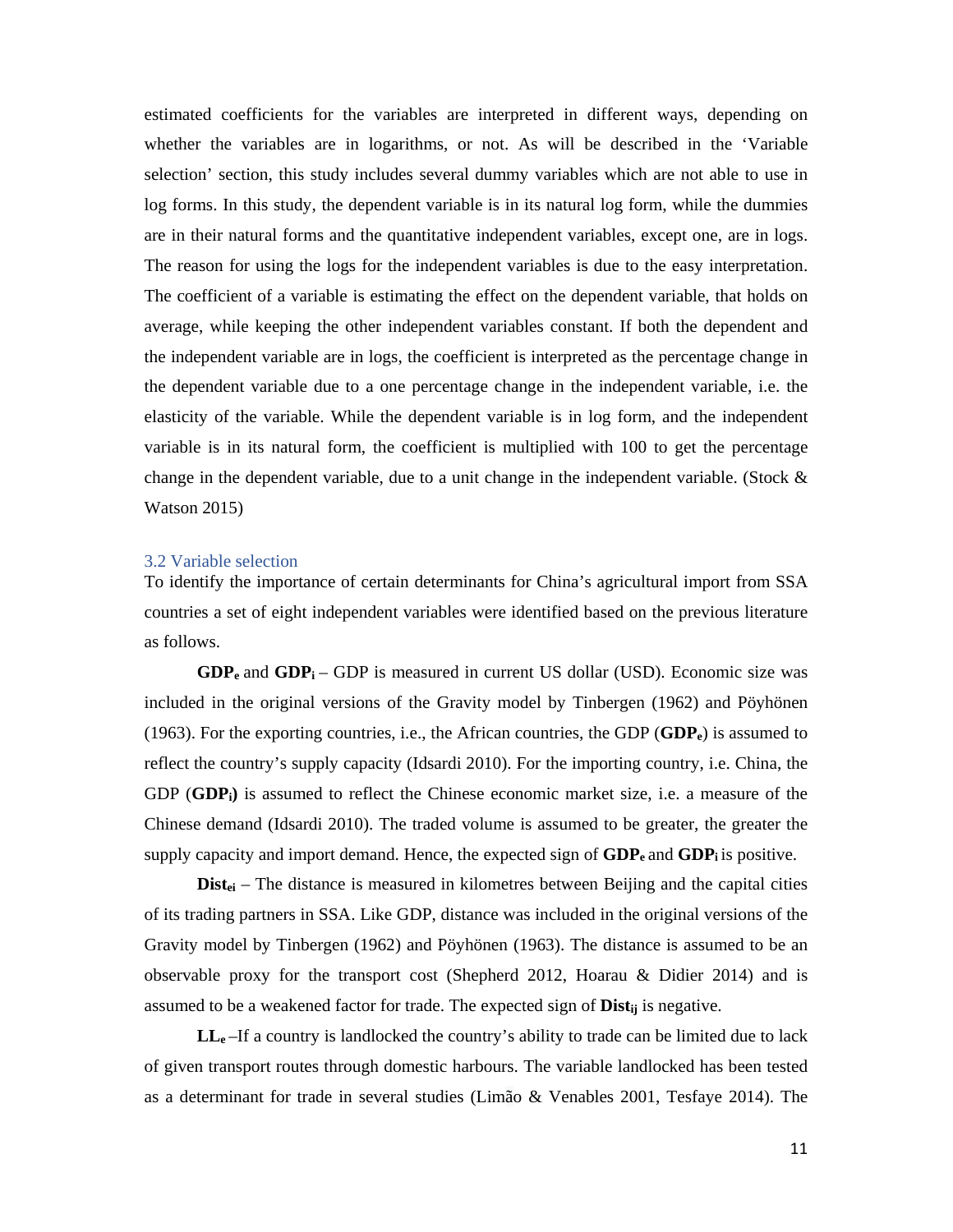estimated coefficients for the variables are interpreted in different ways, depending on whether the variables are in logarithms, or not. As will be described in the 'Variable selection' section, this study includes several dummy variables which are not able to use in log forms. In this study, the dependent variable is in its natural log form, while the dummies are in their natural forms and the quantitative independent variables, except one, are in logs. The reason for using the logs for the independent variables is due to the easy interpretation. The coefficient of a variable is estimating the effect on the dependent variable, that holds on average, while keeping the other independent variables constant. If both the dependent and the independent variable are in logs, the coefficient is interpreted as the percentage change in the dependent variable due to a one percentage change in the independent variable, i.e. the elasticity of the variable. While the dependent variable is in log form, and the independent variable is in its natural form, the coefficient is multiplied with 100 to get the percentage change in the dependent variable, due to a unit change in the independent variable. (Stock & Watson 2015)

#### 3.2 Variable selection

To identify the importance of certain determinants for China's agricultural import from SSA countries a set of eight independent variables were identified based on the previous literature as follows.

 $GDP<sub>e</sub>$  and  $GDP<sub>i</sub>$  – GDP is measured in current US dollar (USD). Economic size was included in the original versions of the Gravity model by Tinbergen (1962) and Pöyhönen (1963). For the exporting countries, i.e., the African countries, the GDP (**GDPe**) is assumed to reflect the country's supply capacity (Idsardi 2010). For the importing country, i.e. China, the GDP (**GDPi)** is assumed to reflect the Chinese economic market size, i.e. a measure of the Chinese demand (Idsardi 2010). The traded volume is assumed to be greater, the greater the supply capacity and import demand. Hence, the expected sign of **GDP**<sub>e</sub> and **GDP**<sub>i</sub> is positive.

**Dist<sub>ei</sub>** – The distance is measured in kilometres between Beijing and the capital cities of its trading partners in SSA. Like GDP, distance was included in the original versions of the Gravity model by Tinbergen (1962) and Pöyhönen (1963). The distance is assumed to be an observable proxy for the transport cost (Shepherd 2012, Hoarau & Didier 2014) and is assumed to be a weakened factor for trade. The expected sign of **Distij** is negative.

**LLe** –If a country is landlocked the country's ability to trade can be limited due to lack of given transport routes through domestic harbours. The variable landlocked has been tested as a determinant for trade in several studies (Limão & Venables 2001, Tesfaye 2014). The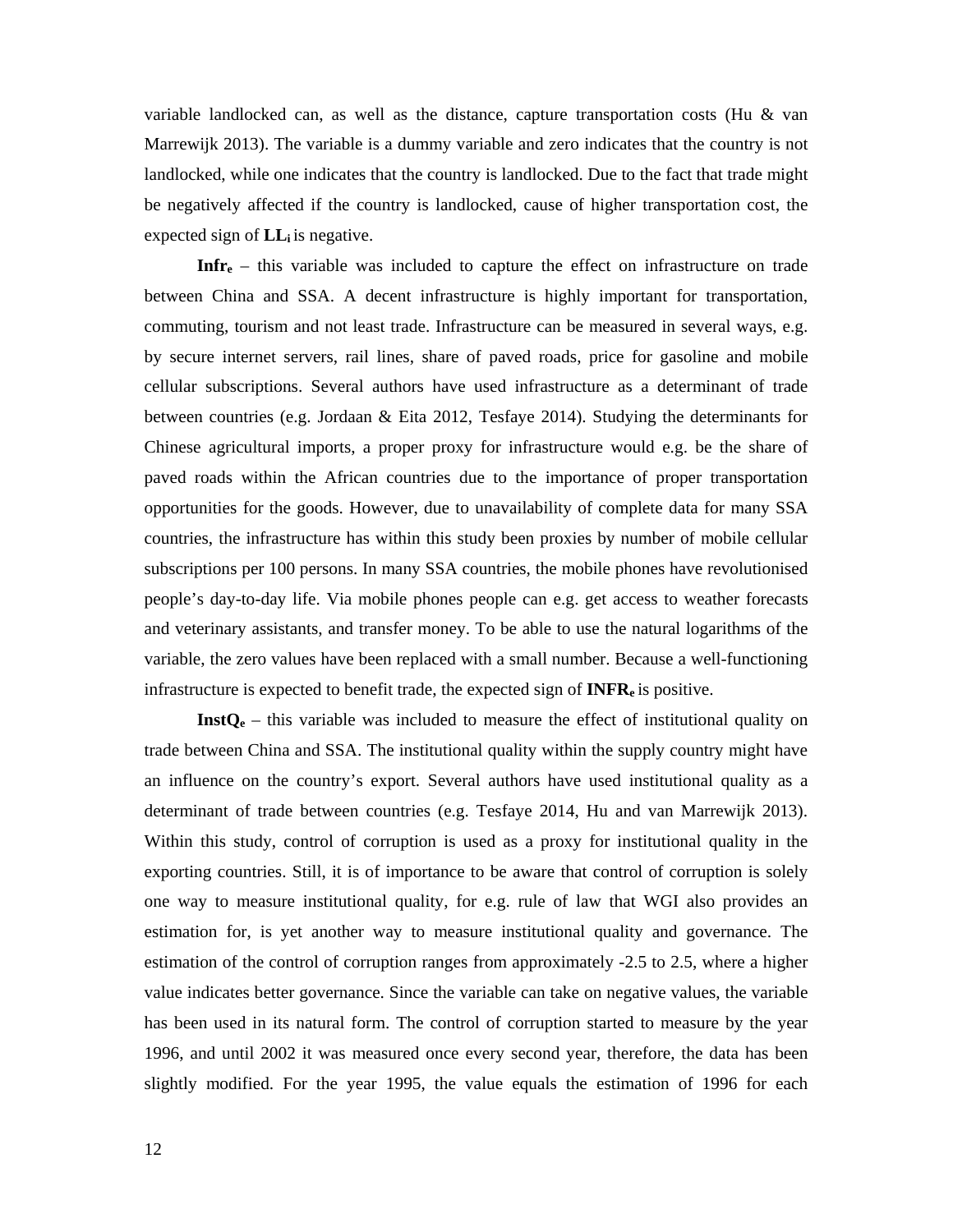variable landlocked can, as well as the distance, capture transportation costs (Hu  $\&$  van Marrewijk 2013). The variable is a dummy variable and zero indicates that the country is not landlocked, while one indicates that the country is landlocked. Due to the fact that trade might be negatively affected if the country is landlocked, cause of higher transportation cost, the expected sign of **LLi** is negative.

**Infre** – this variable was included to capture the effect on infrastructure on trade between China and SSA. A decent infrastructure is highly important for transportation, commuting, tourism and not least trade. Infrastructure can be measured in several ways, e.g. by secure internet servers, rail lines, share of paved roads, price for gasoline and mobile cellular subscriptions. Several authors have used infrastructure as a determinant of trade between countries (e.g. Jordaan & Eita 2012, Tesfaye 2014). Studying the determinants for Chinese agricultural imports, a proper proxy for infrastructure would e.g. be the share of paved roads within the African countries due to the importance of proper transportation opportunities for the goods. However, due to unavailability of complete data for many SSA countries, the infrastructure has within this study been proxies by number of mobile cellular subscriptions per 100 persons. In many SSA countries, the mobile phones have revolutionised people's day-to-day life. Via mobile phones people can e.g. get access to weather forecasts and veterinary assistants, and transfer money. To be able to use the natural logarithms of the variable, the zero values have been replaced with a small number. Because a well-functioning infrastructure is expected to benefit trade, the expected sign of **INFRe** is positive.

**InstQe** – this variable was included to measure the effect of institutional quality on trade between China and SSA. The institutional quality within the supply country might have an influence on the country's export. Several authors have used institutional quality as a determinant of trade between countries (e.g. Tesfaye 2014, Hu and van Marrewijk 2013). Within this study, control of corruption is used as a proxy for institutional quality in the exporting countries. Still, it is of importance to be aware that control of corruption is solely one way to measure institutional quality, for e.g. rule of law that WGI also provides an estimation for, is yet another way to measure institutional quality and governance. The estimation of the control of corruption ranges from approximately -2.5 to 2.5, where a higher value indicates better governance. Since the variable can take on negative values, the variable has been used in its natural form. The control of corruption started to measure by the year 1996, and until 2002 it was measured once every second year, therefore, the data has been slightly modified. For the year 1995, the value equals the estimation of 1996 for each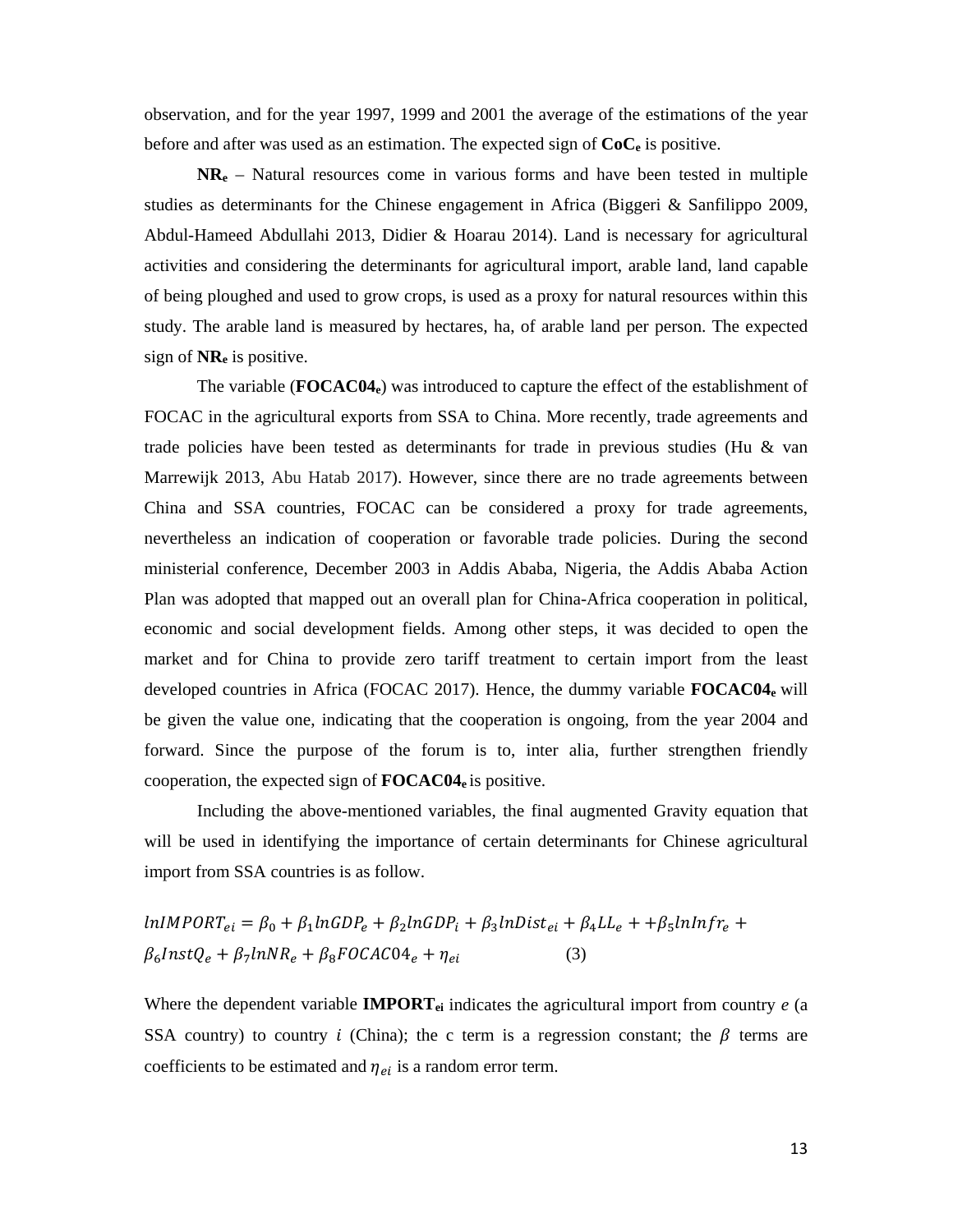observation, and for the year 1997, 1999 and 2001 the average of the estimations of the year before and after was used as an estimation. The expected sign of **CoCe** is positive.

**NRe** – Natural resources come in various forms and have been tested in multiple studies as determinants for the Chinese engagement in Africa (Biggeri & Sanfilippo 2009, Abdul-Hameed Abdullahi 2013, Didier & Hoarau 2014). Land is necessary for agricultural activities and considering the determinants for agricultural import, arable land, land capable of being ploughed and used to grow crops, is used as a proxy for natural resources within this study. The arable land is measured by hectares, ha, of arable land per person. The expected sign of **NRe** is positive.

The variable (**FOCAC04e**) was introduced to capture the effect of the establishment of FOCAC in the agricultural exports from SSA to China. More recently, trade agreements and trade policies have been tested as determinants for trade in previous studies (Hu & van Marrewijk 2013, Abu Hatab 2017). However, since there are no trade agreements between China and SSA countries, FOCAC can be considered a proxy for trade agreements, nevertheless an indication of cooperation or favorable trade policies. During the second ministerial conference, December 2003 in Addis Ababa, Nigeria, the Addis Ababa Action Plan was adopted that mapped out an overall plan for China-Africa cooperation in political, economic and social development fields. Among other steps, it was decided to open the market and for China to provide zero tariff treatment to certain import from the least developed countries in Africa (FOCAC 2017). Hence, the dummy variable **FOCAC04e** will be given the value one, indicating that the cooperation is ongoing, from the year 2004 and forward. Since the purpose of the forum is to, inter alia, further strengthen friendly cooperation, the expected sign of **FOCAC04e** is positive.

Including the above-mentioned variables, the final augmented Gravity equation that will be used in identifying the importance of certain determinants for Chinese agricultural import from SSA countries is as follow.

$$
lnIMPORT_{ei} = \beta_0 + \beta_1 ln GDP_e + \beta_2 ln GDP_i + \beta_3 lnDist_{ei} + \beta_4 LL_e + \beta_5 ln lnfr_e + \beta_6 ln str_e + \beta_7 ln NR_e + \beta_8 FOCAC04_e + \eta_{ei}
$$
\n(3)

Where the dependent variable **IMPORTei** indicates the agricultural import from country *e* (a SSA country) to country *i* (China); the c term is a regression constant; the  $\beta$  terms are coefficients to be estimated and  $\eta_{ei}$  is a random error term.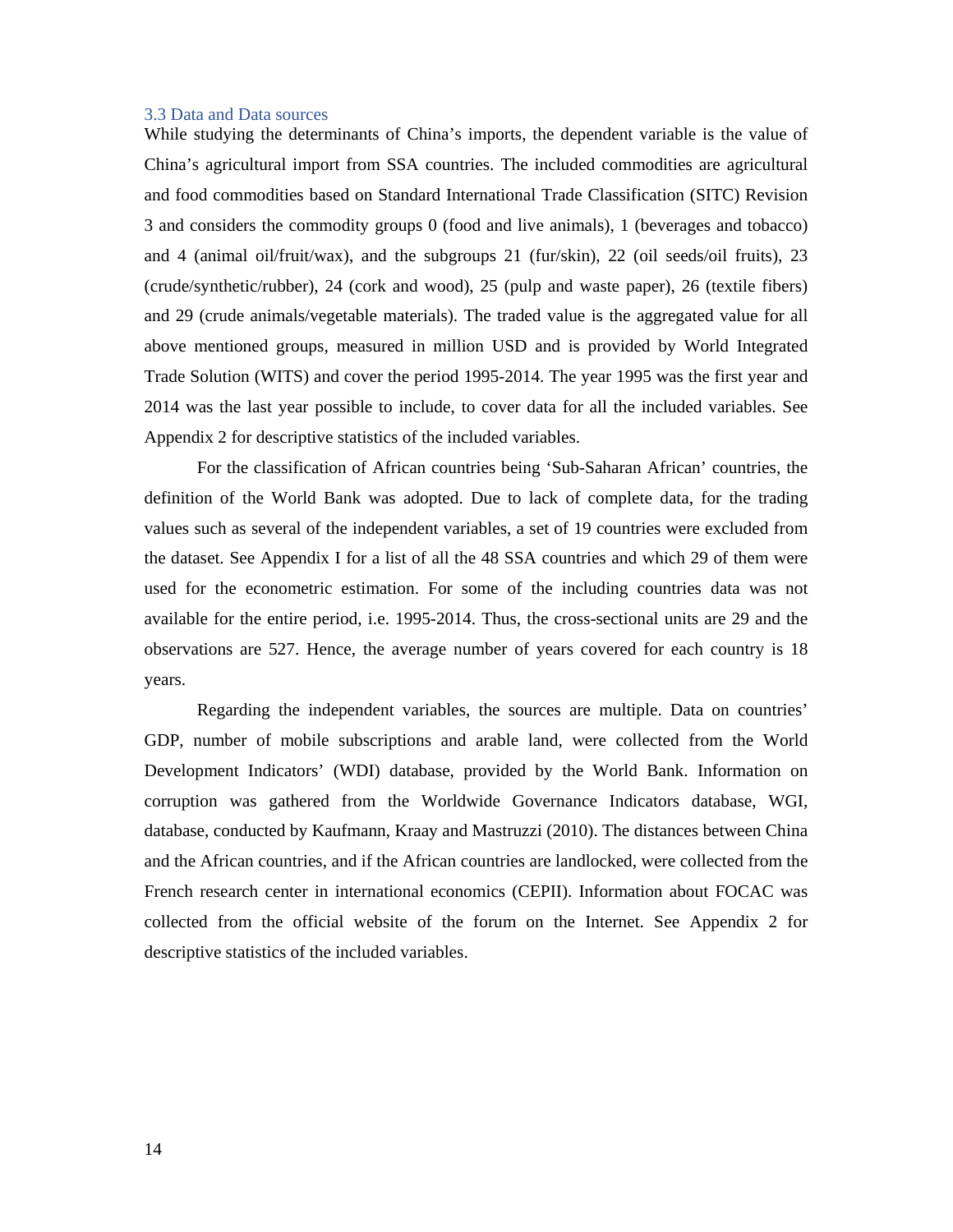#### 3.3 Data and Data sources

While studying the determinants of China's imports, the dependent variable is the value of China's agricultural import from SSA countries. The included commodities are agricultural and food commodities based on Standard International Trade Classification (SITC) Revision 3 and considers the commodity groups 0 (food and live animals), 1 (beverages and tobacco) and 4 (animal oil/fruit/wax), and the subgroups 21 (fur/skin), 22 (oil seeds/oil fruits), 23 (crude/synthetic/rubber), 24 (cork and wood), 25 (pulp and waste paper), 26 (textile fibers) and 29 (crude animals/vegetable materials). The traded value is the aggregated value for all above mentioned groups, measured in million USD and is provided by World Integrated Trade Solution (WITS) and cover the period 1995-2014. The year 1995 was the first year and 2014 was the last year possible to include, to cover data for all the included variables. See Appendix 2 for descriptive statistics of the included variables.

For the classification of African countries being 'Sub-Saharan African' countries, the definition of the World Bank was adopted. Due to lack of complete data, for the trading values such as several of the independent variables, a set of 19 countries were excluded from the dataset. See Appendix I for a list of all the 48 SSA countries and which 29 of them were used for the econometric estimation. For some of the including countries data was not available for the entire period, i.e. 1995-2014. Thus, the cross-sectional units are 29 and the observations are 527. Hence, the average number of years covered for each country is 18 years.

 Regarding the independent variables, the sources are multiple. Data on countries' GDP, number of mobile subscriptions and arable land, were collected from the World Development Indicators' (WDI) database, provided by the World Bank. Information on corruption was gathered from the Worldwide Governance Indicators database, WGI, database, conducted by Kaufmann, Kraay and Mastruzzi (2010). The distances between China and the African countries, and if the African countries are landlocked, were collected from the French research center in international economics (CEPII). Information about FOCAC was collected from the official website of the forum on the Internet. See Appendix 2 for descriptive statistics of the included variables.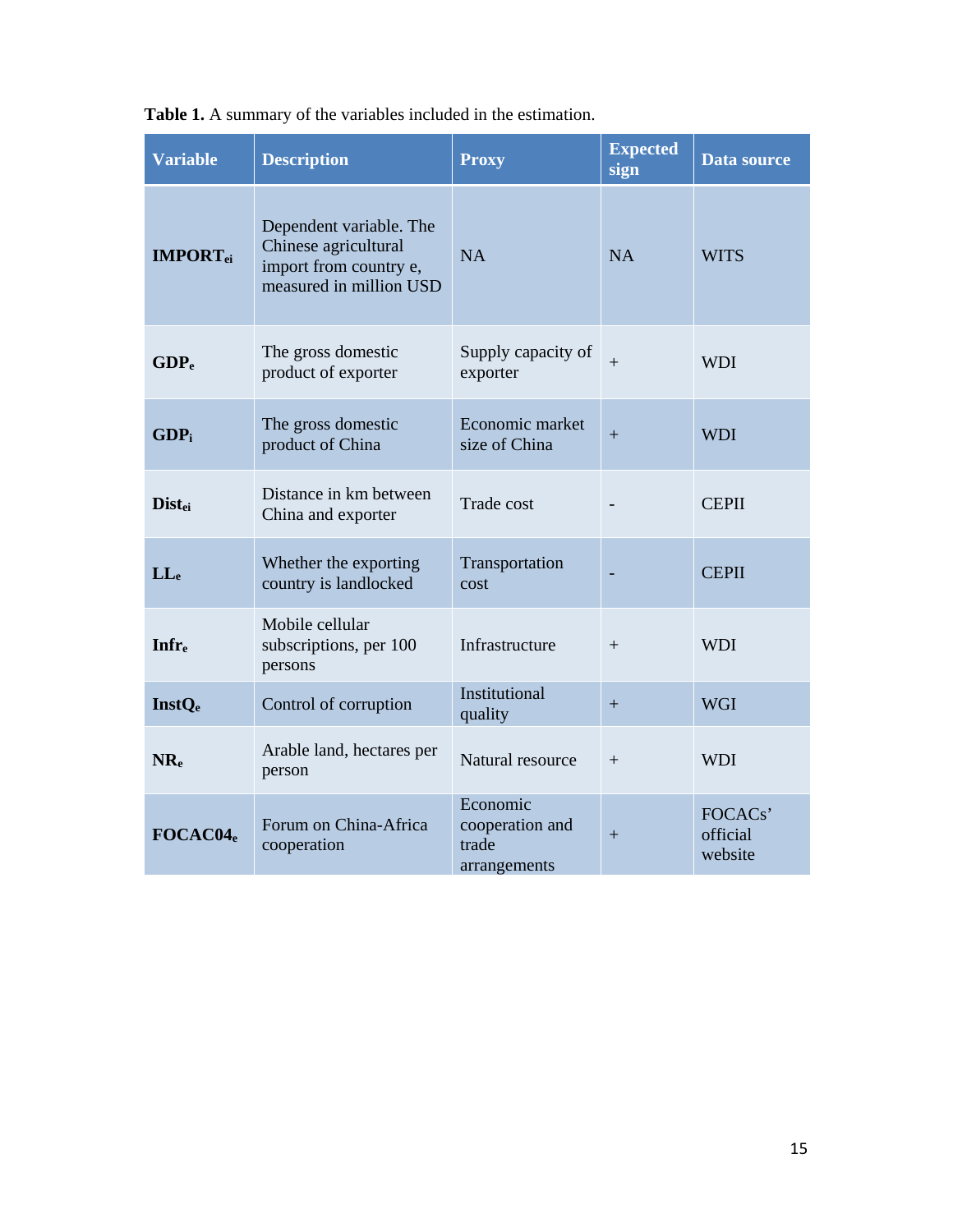| <b>Variable</b>             | <b>Description</b>                                                                                   | <b>Proxy</b>                                         | <b>Expected</b><br>sign | <b>Data source</b>             |
|-----------------------------|------------------------------------------------------------------------------------------------------|------------------------------------------------------|-------------------------|--------------------------------|
| <b>IMPORT</b> <sub>ei</sub> | Dependent variable. The<br>Chinese agricultural<br>import from country e,<br>measured in million USD | <b>NA</b>                                            | <b>NA</b>               | <b>WITS</b>                    |
| GDP <sub>e</sub>            | The gross domestic<br>product of exporter                                                            | Supply capacity of<br>exporter                       | $+$                     | <b>WDI</b>                     |
| GDP <sub>i</sub>            | The gross domestic<br>product of China                                                               | Economic market<br>size of China                     |                         | <b>WDI</b>                     |
| <b>Dist<sub>ei</sub></b>    | Distance in km between<br>China and exporter                                                         | Trade cost                                           |                         | <b>CEPII</b>                   |
| $LL_{e}$                    | Whether the exporting<br>country is landlocked                                                       | Transportation<br>cost                               |                         | <b>CEPII</b>                   |
| <b>Infre</b>                | Mobile cellular<br>subscriptions, per 100<br>persons                                                 | Infrastructure                                       | $+$                     | <b>WDI</b>                     |
| <b>InstQe</b>               | Control of corruption                                                                                | Institutional<br>quality                             | $+$                     | <b>WGI</b>                     |
| $NR_{e}$                    | Arable land, hectares per<br>person                                                                  | Natural resource                                     | $+$                     | <b>WDI</b>                     |
| FOCAC04 <sub>e</sub>        | Forum on China-Africa<br>cooperation                                                                 | Economic<br>cooperation and<br>trade<br>arrangements | $+$                     | FOCACs'<br>official<br>website |

**Table 1.** A summary of the variables included in the estimation.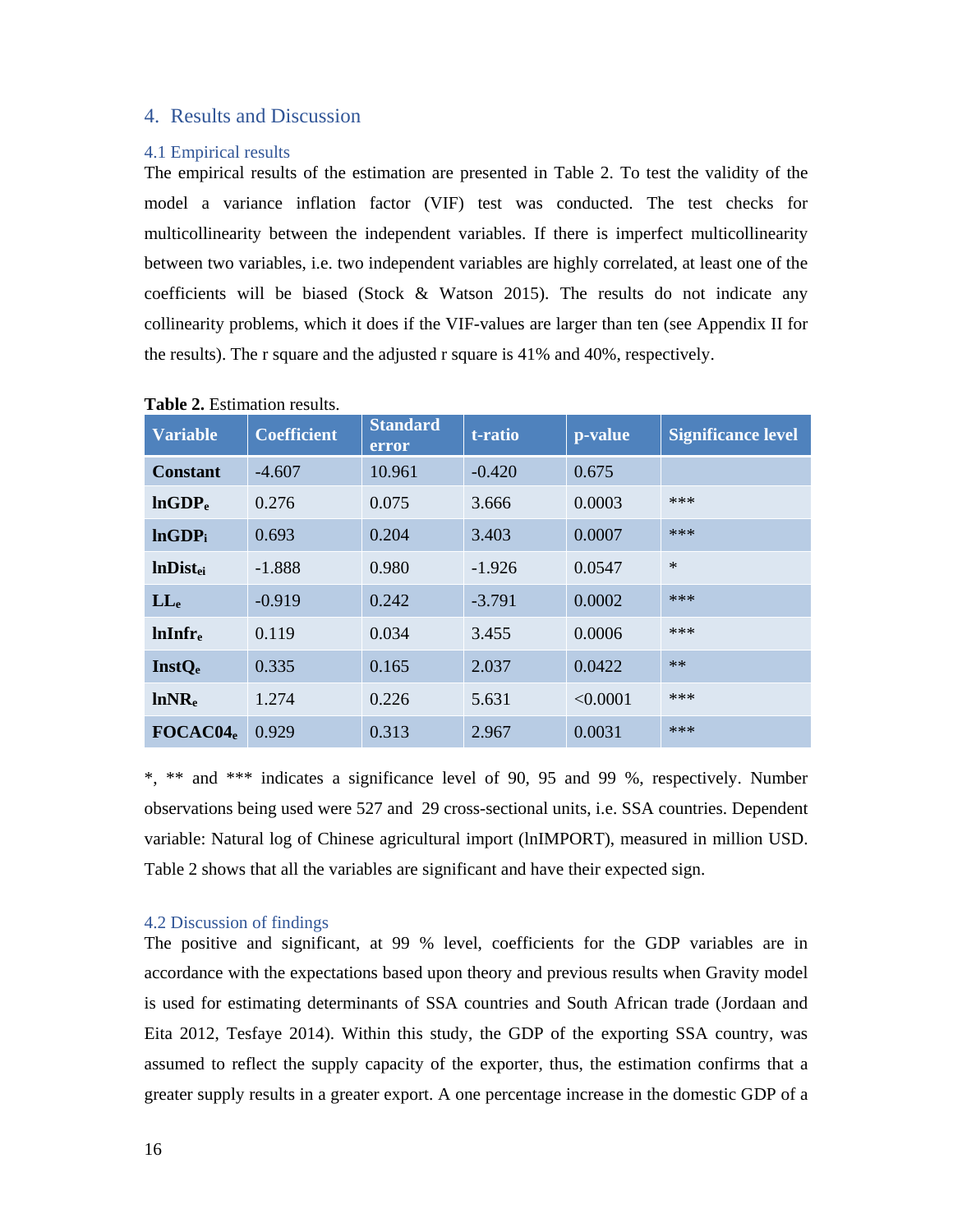# 4. Results and Discussion

### 4.1 Empirical results

The empirical results of the estimation are presented in Table 2. To test the validity of the model a variance inflation factor (VIF) test was conducted. The test checks for multicollinearity between the independent variables. If there is imperfect multicollinearity between two variables, i.e. two independent variables are highly correlated, at least one of the coefficients will be biased (Stock  $\&$  Watson 2015). The results do not indicate any collinearity problems, which it does if the VIF-values are larger than ten (see Appendix II for the results). The r square and the adjusted r square is 41% and 40%, respectively.

| <b>Variable</b>      | <b>Coefficient</b> | <b>Standard</b><br>error | t-ratio  | p-value  | <b>Significance level</b> |
|----------------------|--------------------|--------------------------|----------|----------|---------------------------|
| <b>Constant</b>      | $-4.607$           | 10.961                   | $-0.420$ | 0.675    |                           |
| lnGDP <sub>e</sub>   | 0.276              | 0.075                    | 3.666    | 0.0003   | $***$                     |
| lnGDP <sub>i</sub>   | 0.693              | 0.204                    | 3.403    | 0.0007   | ***                       |
| <b>InDistei</b>      | $-1.888$           | 0.980                    | $-1.926$ | 0.0547   | $\ast$                    |
| $LL_{e}$             | $-0.919$           | 0.242                    | $-3.791$ | 0.0002   | ***                       |
| $lnInfr_{e}$         | 0.119              | 0.034                    | 3.455    | 0.0006   | $***$                     |
| <b>InstQe</b>        | 0.335              | 0.165                    | 2.037    | 0.0422   | $**$                      |
| lnNR <sub>e</sub>    | 1.274              | 0.226                    | 5.631    | < 0.0001 | ***                       |
| FOCAC04 <sub>e</sub> | 0.929              | 0.313                    | 2.967    | 0.0031   | ***                       |

#### **Table 2.** Estimation results.

\*, \*\* and \*\*\* indicates a significance level of 90, 95 and 99 %, respectively. Number observations being used were 527 and 29 cross-sectional units, i.e. SSA countries. Dependent variable: Natural log of Chinese agricultural import (lnIMPORT), measured in million USD. Table 2 shows that all the variables are significant and have their expected sign.

### 4.2 Discussion of findings

The positive and significant, at 99 % level, coefficients for the GDP variables are in accordance with the expectations based upon theory and previous results when Gravity model is used for estimating determinants of SSA countries and South African trade (Jordaan and Eita 2012, Tesfaye 2014). Within this study, the GDP of the exporting SSA country, was assumed to reflect the supply capacity of the exporter, thus, the estimation confirms that a greater supply results in a greater export. A one percentage increase in the domestic GDP of a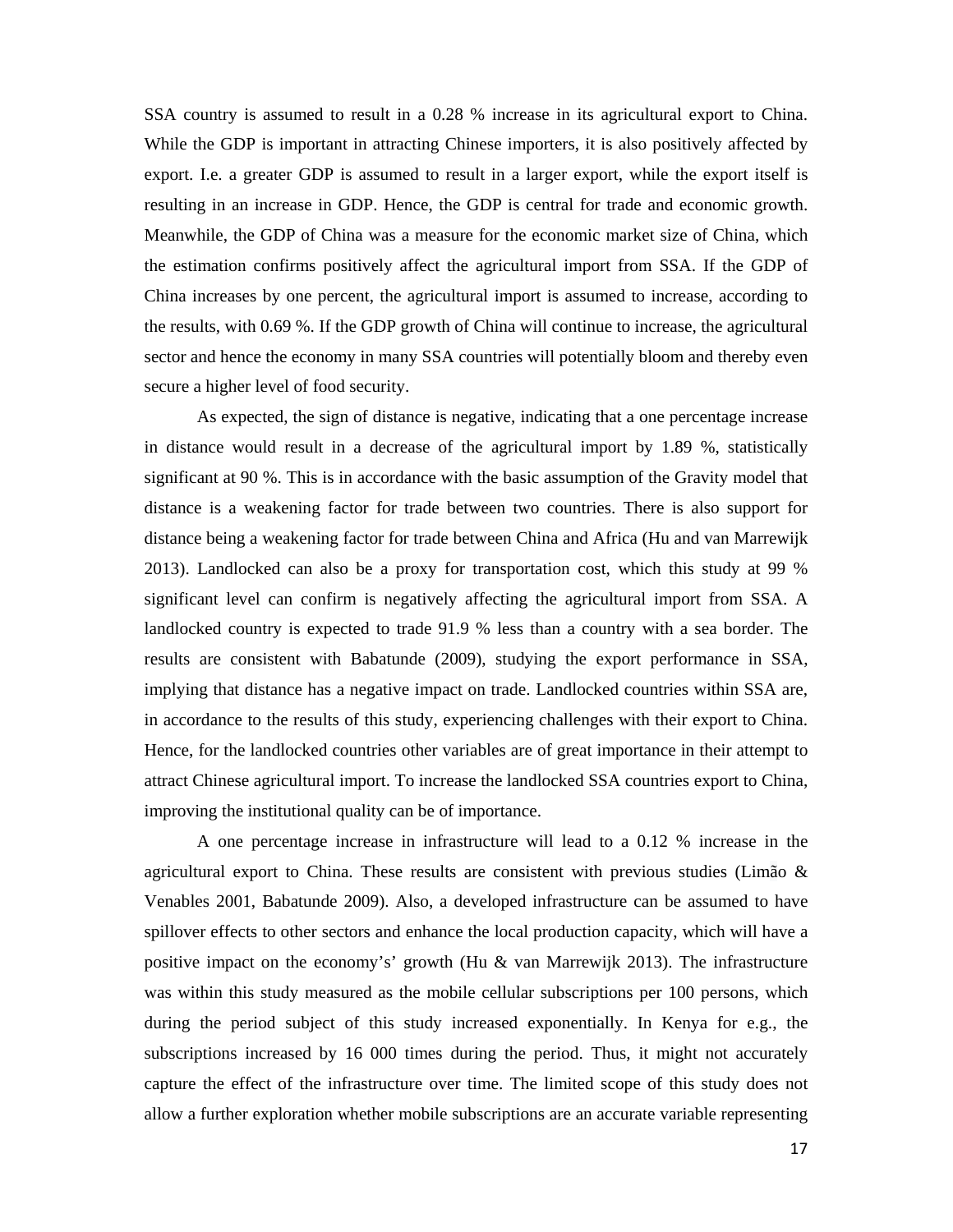SSA country is assumed to result in a 0.28 % increase in its agricultural export to China. While the GDP is important in attracting Chinese importers, it is also positively affected by export. I.e. a greater GDP is assumed to result in a larger export, while the export itself is resulting in an increase in GDP. Hence, the GDP is central for trade and economic growth. Meanwhile, the GDP of China was a measure for the economic market size of China, which the estimation confirms positively affect the agricultural import from SSA. If the GDP of China increases by one percent, the agricultural import is assumed to increase, according to the results, with 0.69 %. If the GDP growth of China will continue to increase, the agricultural sector and hence the economy in many SSA countries will potentially bloom and thereby even secure a higher level of food security.

 As expected, the sign of distance is negative, indicating that a one percentage increase in distance would result in a decrease of the agricultural import by 1.89 %, statistically significant at 90 %. This is in accordance with the basic assumption of the Gravity model that distance is a weakening factor for trade between two countries. There is also support for distance being a weakening factor for trade between China and Africa (Hu and van Marrewijk 2013). Landlocked can also be a proxy for transportation cost, which this study at 99 % significant level can confirm is negatively affecting the agricultural import from SSA. A landlocked country is expected to trade 91.9 % less than a country with a sea border. The results are consistent with Babatunde (2009), studying the export performance in SSA, implying that distance has a negative impact on trade. Landlocked countries within SSA are, in accordance to the results of this study, experiencing challenges with their export to China. Hence, for the landlocked countries other variables are of great importance in their attempt to attract Chinese agricultural import. To increase the landlocked SSA countries export to China, improving the institutional quality can be of importance.

 A one percentage increase in infrastructure will lead to a 0.12 % increase in the agricultural export to China. These results are consistent with previous studies (Limão & Venables 2001, Babatunde 2009). Also, a developed infrastructure can be assumed to have spillover effects to other sectors and enhance the local production capacity, which will have a positive impact on the economy's' growth (Hu & van Marrewijk 2013). The infrastructure was within this study measured as the mobile cellular subscriptions per 100 persons, which during the period subject of this study increased exponentially. In Kenya for e.g., the subscriptions increased by 16 000 times during the period. Thus, it might not accurately capture the effect of the infrastructure over time. The limited scope of this study does not allow a further exploration whether mobile subscriptions are an accurate variable representing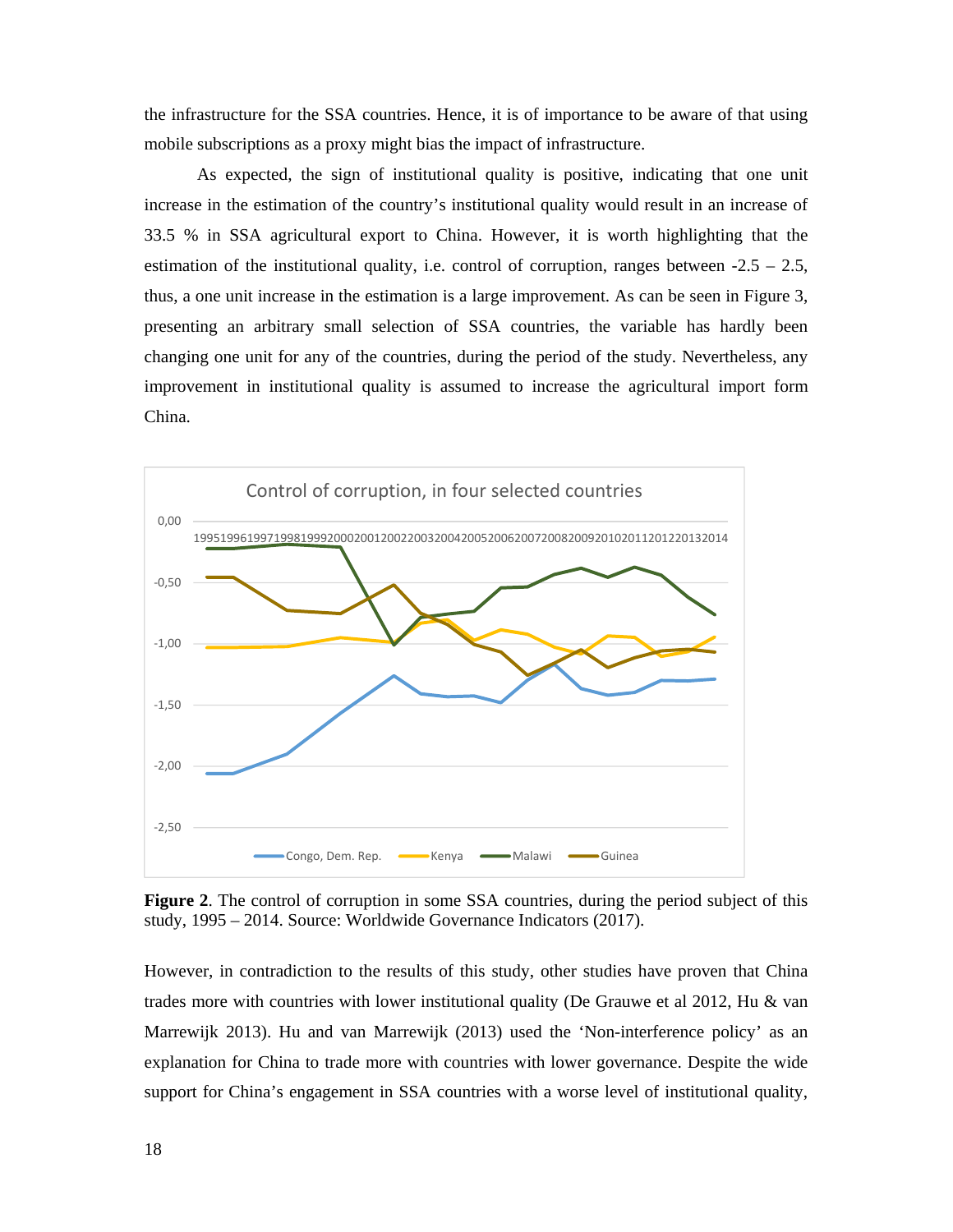the infrastructure for the SSA countries. Hence, it is of importance to be aware of that using mobile subscriptions as a proxy might bias the impact of infrastructure.

As expected, the sign of institutional quality is positive, indicating that one unit increase in the estimation of the country's institutional quality would result in an increase of 33.5 % in SSA agricultural export to China. However, it is worth highlighting that the estimation of the institutional quality, i.e. control of corruption, ranges between  $-2.5 - 2.5$ , thus, a one unit increase in the estimation is a large improvement. As can be seen in Figure 3, presenting an arbitrary small selection of SSA countries, the variable has hardly been changing one unit for any of the countries, during the period of the study. Nevertheless, any improvement in institutional quality is assumed to increase the agricultural import form China.



**Figure 2**. The control of corruption in some SSA countries, during the period subject of this study, 1995 – 2014. Source: Worldwide Governance Indicators (2017).

However, in contradiction to the results of this study, other studies have proven that China trades more with countries with lower institutional quality (De Grauwe et al 2012, Hu & van Marrewijk 2013). Hu and van Marrewijk (2013) used the 'Non-interference policy' as an explanation for China to trade more with countries with lower governance. Despite the wide support for China's engagement in SSA countries with a worse level of institutional quality,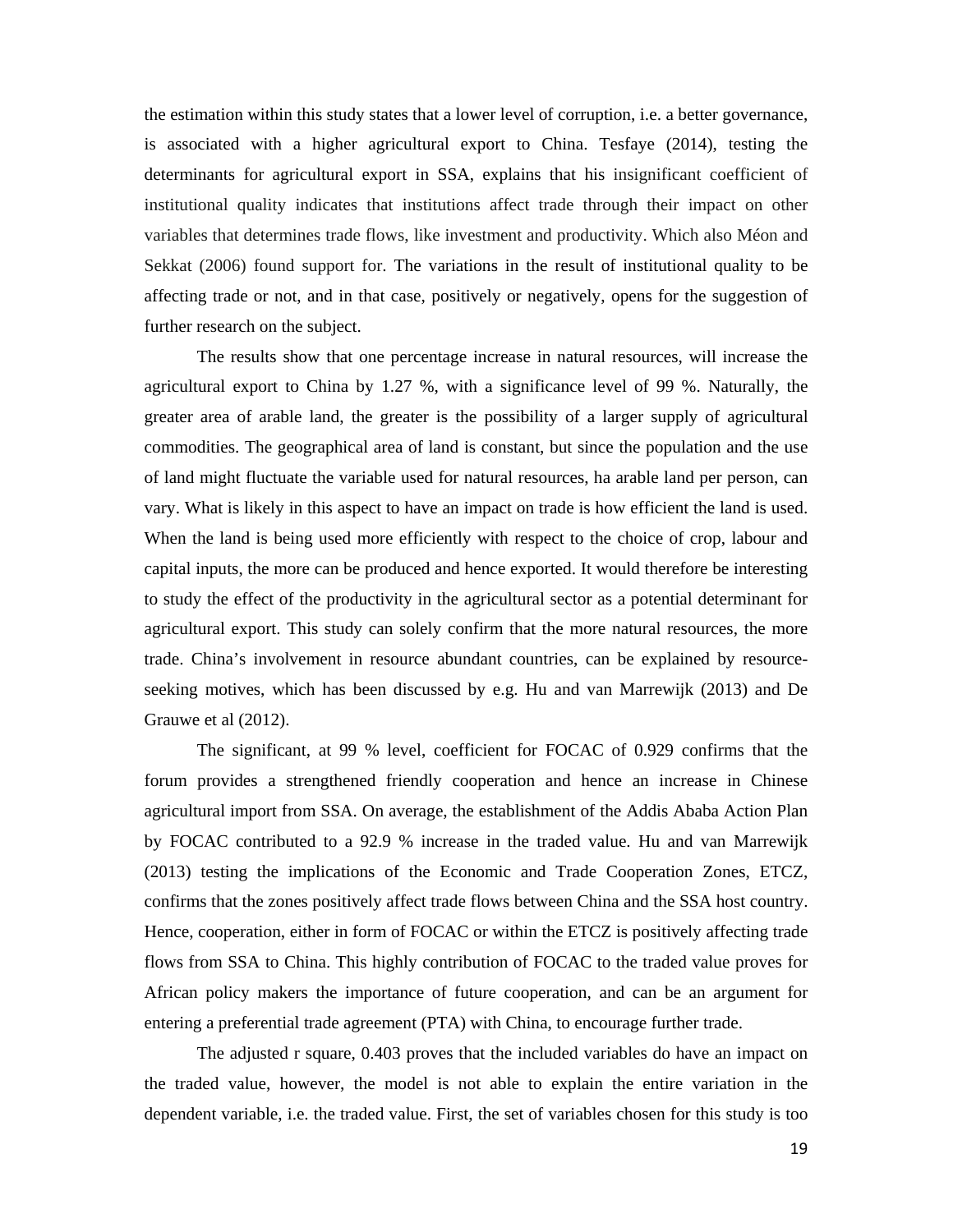the estimation within this study states that a lower level of corruption, i.e. a better governance, is associated with a higher agricultural export to China. Tesfaye (2014), testing the determinants for agricultural export in SSA, explains that his insignificant coefficient of institutional quality indicates that institutions affect trade through their impact on other variables that determines trade flows, like investment and productivity. Which also Méon and Sekkat (2006) found support for. The variations in the result of institutional quality to be affecting trade or not, and in that case, positively or negatively, opens for the suggestion of further research on the subject.

The results show that one percentage increase in natural resources, will increase the agricultural export to China by 1.27 %, with a significance level of 99 %. Naturally, the greater area of arable land, the greater is the possibility of a larger supply of agricultural commodities. The geographical area of land is constant, but since the population and the use of land might fluctuate the variable used for natural resources, ha arable land per person, can vary. What is likely in this aspect to have an impact on trade is how efficient the land is used. When the land is being used more efficiently with respect to the choice of crop, labour and capital inputs, the more can be produced and hence exported. It would therefore be interesting to study the effect of the productivity in the agricultural sector as a potential determinant for agricultural export. This study can solely confirm that the more natural resources, the more trade. China's involvement in resource abundant countries, can be explained by resourceseeking motives, which has been discussed by e.g. Hu and van Marrewijk (2013) and De Grauwe et al (2012).

The significant, at 99 % level, coefficient for FOCAC of 0.929 confirms that the forum provides a strengthened friendly cooperation and hence an increase in Chinese agricultural import from SSA. On average, the establishment of the Addis Ababa Action Plan by FOCAC contributed to a 92.9 % increase in the traded value. Hu and van Marrewijk (2013) testing the implications of the Economic and Trade Cooperation Zones, ETCZ, confirms that the zones positively affect trade flows between China and the SSA host country. Hence, cooperation, either in form of FOCAC or within the ETCZ is positively affecting trade flows from SSA to China. This highly contribution of FOCAC to the traded value proves for African policy makers the importance of future cooperation, and can be an argument for entering a preferential trade agreement (PTA) with China, to encourage further trade.

The adjusted r square, 0.403 proves that the included variables do have an impact on the traded value, however, the model is not able to explain the entire variation in the dependent variable, i.e. the traded value. First, the set of variables chosen for this study is too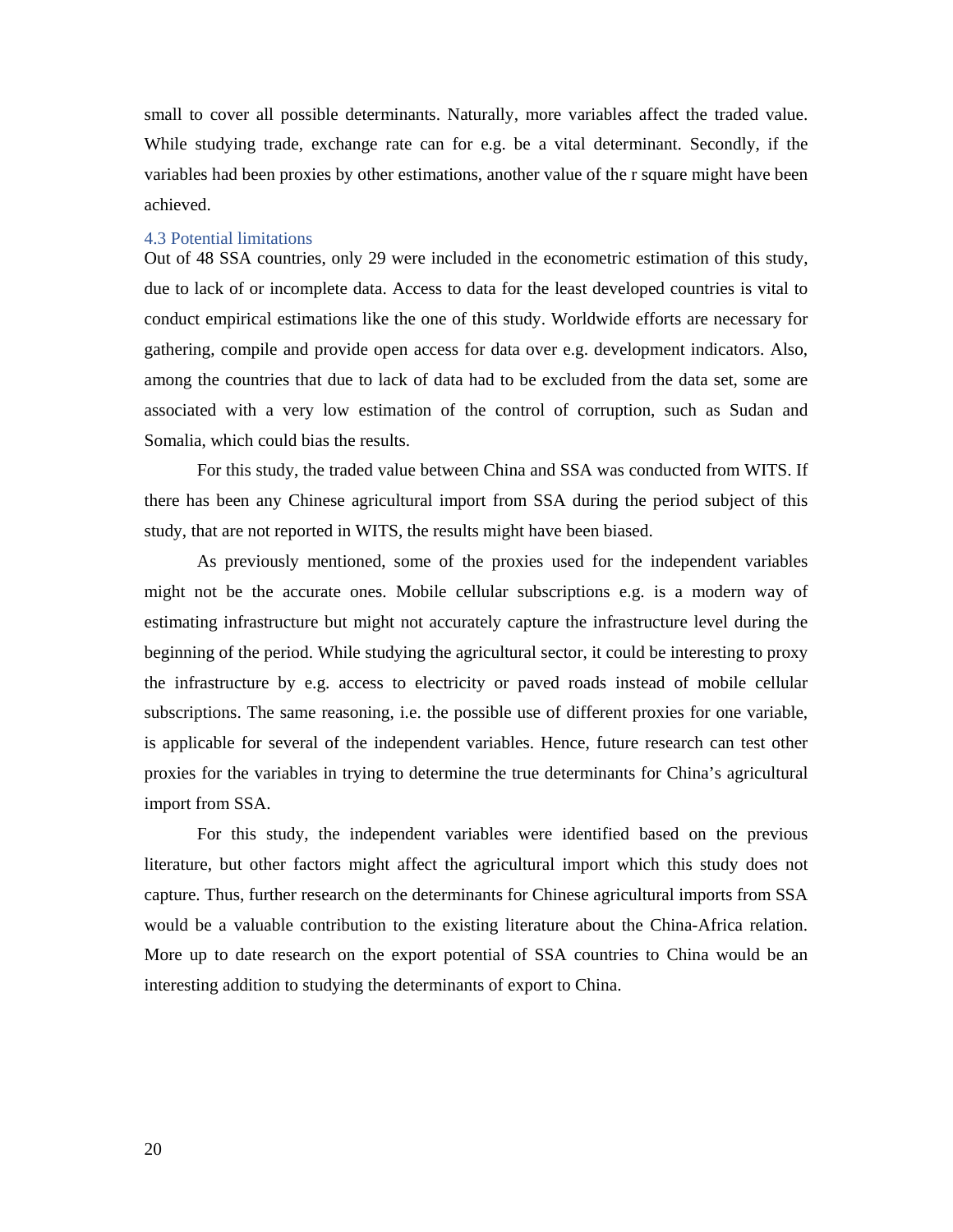small to cover all possible determinants. Naturally, more variables affect the traded value. While studying trade, exchange rate can for e.g. be a vital determinant. Secondly, if the variables had been proxies by other estimations, another value of the r square might have been achieved.

#### 4.3 Potential limitations

Out of 48 SSA countries, only 29 were included in the econometric estimation of this study, due to lack of or incomplete data. Access to data for the least developed countries is vital to conduct empirical estimations like the one of this study. Worldwide efforts are necessary for gathering, compile and provide open access for data over e.g. development indicators. Also, among the countries that due to lack of data had to be excluded from the data set, some are associated with a very low estimation of the control of corruption, such as Sudan and Somalia, which could bias the results.

For this study, the traded value between China and SSA was conducted from WITS. If there has been any Chinese agricultural import from SSA during the period subject of this study, that are not reported in WITS, the results might have been biased.

As previously mentioned, some of the proxies used for the independent variables might not be the accurate ones. Mobile cellular subscriptions e.g. is a modern way of estimating infrastructure but might not accurately capture the infrastructure level during the beginning of the period. While studying the agricultural sector, it could be interesting to proxy the infrastructure by e.g. access to electricity or paved roads instead of mobile cellular subscriptions. The same reasoning, i.e. the possible use of different proxies for one variable, is applicable for several of the independent variables. Hence, future research can test other proxies for the variables in trying to determine the true determinants for China's agricultural import from SSA.

For this study, the independent variables were identified based on the previous literature, but other factors might affect the agricultural import which this study does not capture. Thus, further research on the determinants for Chinese agricultural imports from SSA would be a valuable contribution to the existing literature about the China-Africa relation. More up to date research on the export potential of SSA countries to China would be an interesting addition to studying the determinants of export to China.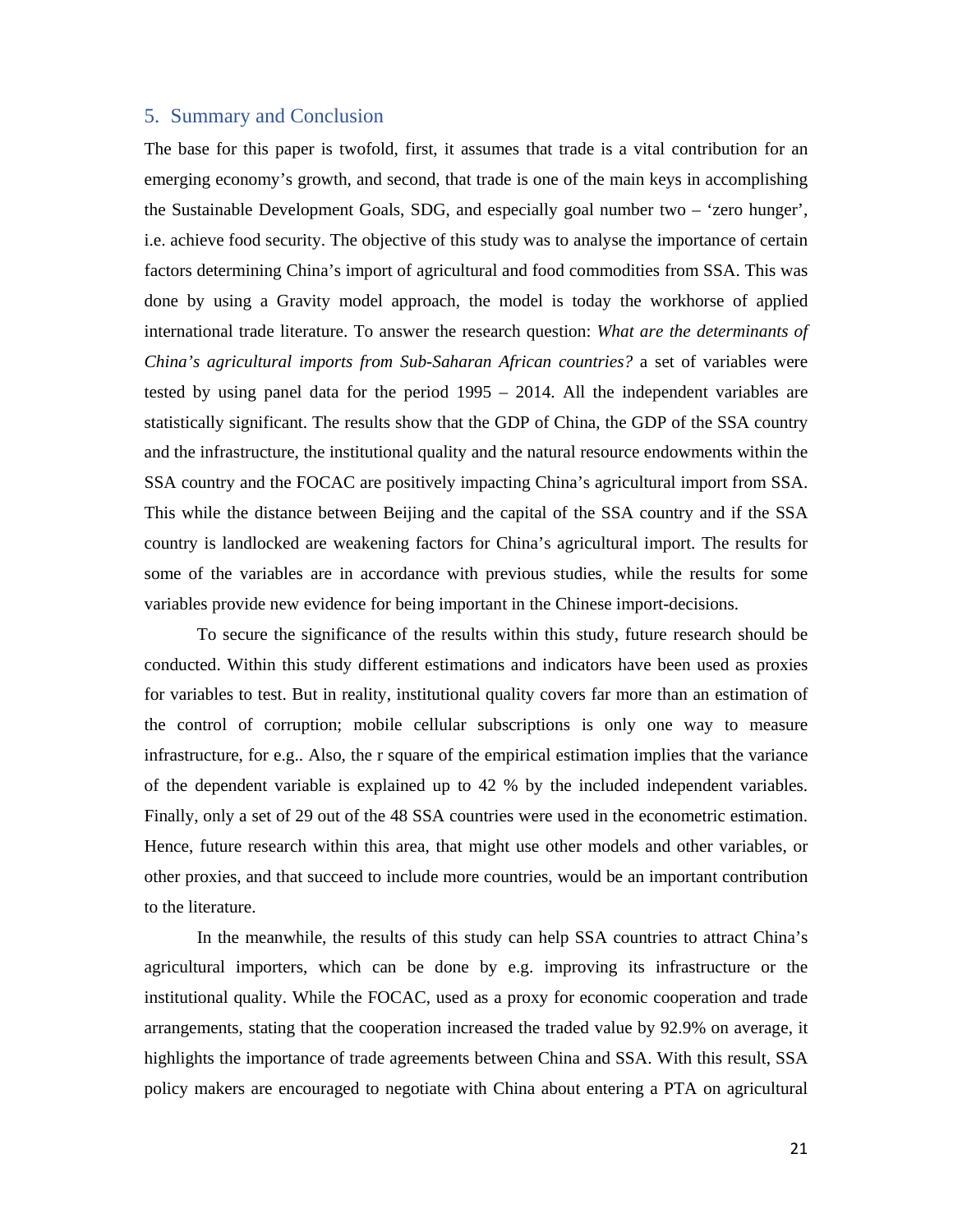# 5. Summary and Conclusion

The base for this paper is twofold, first, it assumes that trade is a vital contribution for an emerging economy's growth, and second, that trade is one of the main keys in accomplishing the Sustainable Development Goals, SDG, and especially goal number two – 'zero hunger', i.e. achieve food security. The objective of this study was to analyse the importance of certain factors determining China's import of agricultural and food commodities from SSA. This was done by using a Gravity model approach, the model is today the workhorse of applied international trade literature. To answer the research question: *What are the determinants of China's agricultural imports from Sub-Saharan African countries?* a set of variables were tested by using panel data for the period 1995 – 2014. All the independent variables are statistically significant. The results show that the GDP of China, the GDP of the SSA country and the infrastructure, the institutional quality and the natural resource endowments within the SSA country and the FOCAC are positively impacting China's agricultural import from SSA. This while the distance between Beijing and the capital of the SSA country and if the SSA country is landlocked are weakening factors for China's agricultural import. The results for some of the variables are in accordance with previous studies, while the results for some variables provide new evidence for being important in the Chinese import-decisions.

To secure the significance of the results within this study, future research should be conducted. Within this study different estimations and indicators have been used as proxies for variables to test. But in reality, institutional quality covers far more than an estimation of the control of corruption; mobile cellular subscriptions is only one way to measure infrastructure, for e.g.. Also, the r square of the empirical estimation implies that the variance of the dependent variable is explained up to 42 % by the included independent variables. Finally, only a set of 29 out of the 48 SSA countries were used in the econometric estimation. Hence, future research within this area, that might use other models and other variables, or other proxies, and that succeed to include more countries, would be an important contribution to the literature.

In the meanwhile, the results of this study can help SSA countries to attract China's agricultural importers, which can be done by e.g. improving its infrastructure or the institutional quality. While the FOCAC, used as a proxy for economic cooperation and trade arrangements, stating that the cooperation increased the traded value by 92.9% on average, it highlights the importance of trade agreements between China and SSA. With this result, SSA policy makers are encouraged to negotiate with China about entering a PTA on agricultural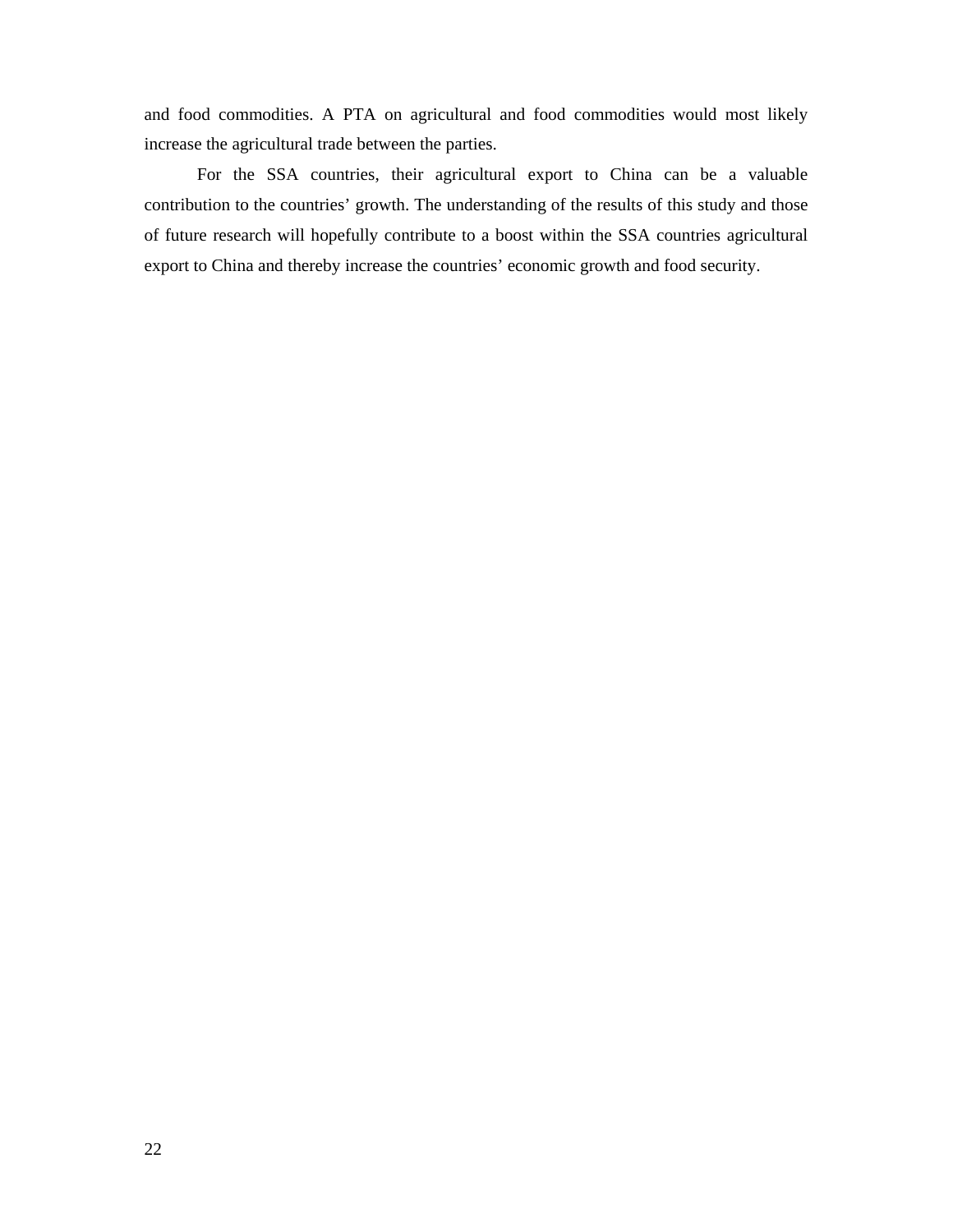and food commodities. A PTA on agricultural and food commodities would most likely increase the agricultural trade between the parties.

For the SSA countries, their agricultural export to China can be a valuable contribution to the countries' growth. The understanding of the results of this study and those of future research will hopefully contribute to a boost within the SSA countries agricultural export to China and thereby increase the countries' economic growth and food security.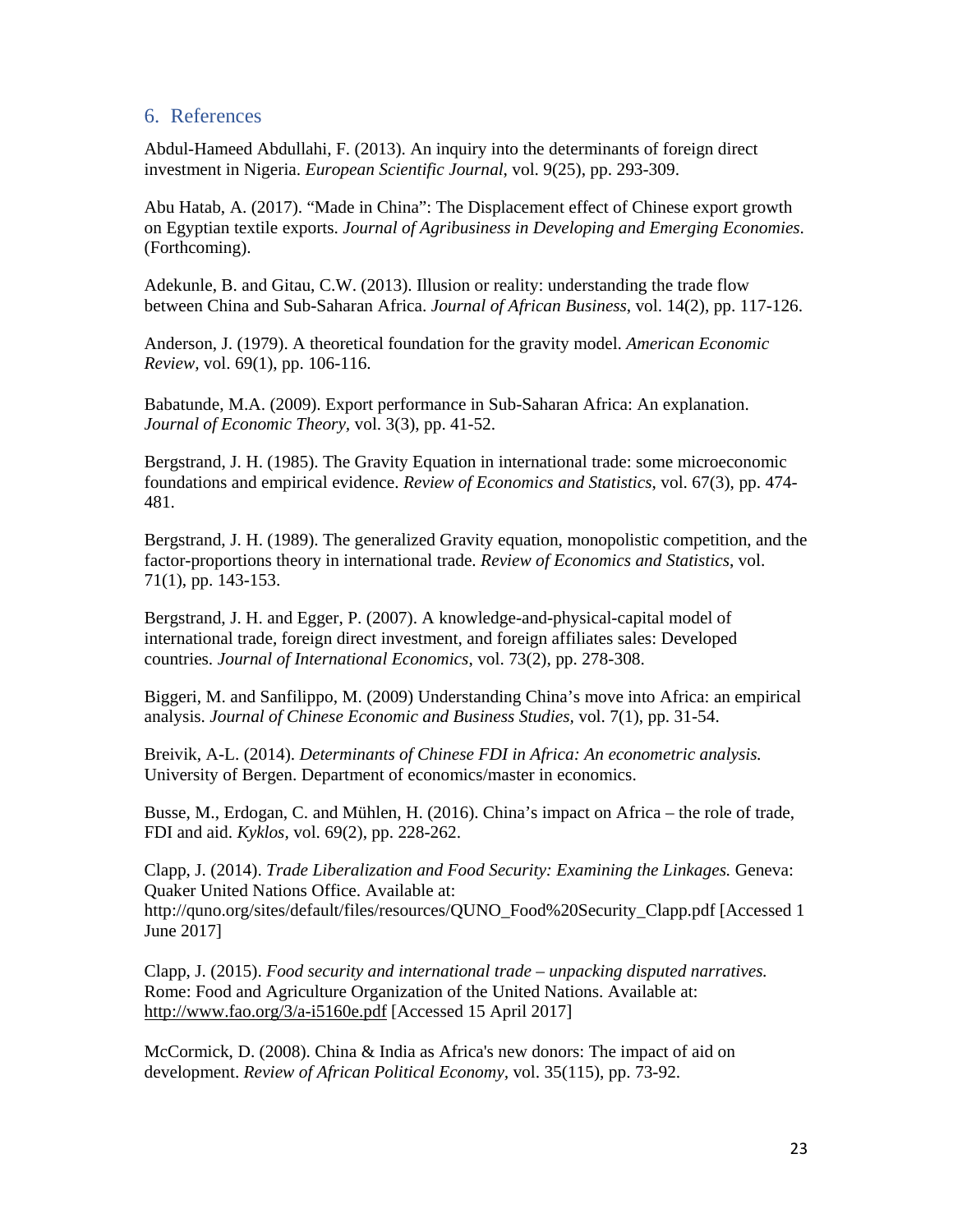# 6. References

Abdul-Hameed Abdullahi, F. (2013). An inquiry into the determinants of foreign direct investment in Nigeria. *European Scientific Journal*, vol. 9(25), pp. 293-309.

Abu Hatab, A. (2017). "Made in China": The Displacement effect of Chinese export growth on Egyptian textile exports. *Journal of Agribusiness in Developing and Emerging Economies*. (Forthcoming).

Adekunle, B. and Gitau, C.W. (2013). Illusion or reality: understanding the trade flow between China and Sub-Saharan Africa. *Journal of African Business*, vol. 14(2), pp. 117-126.

Anderson, J. (1979). A theoretical foundation for the gravity model. *American Economic Review,* vol. 69(1), pp. 106-116.

Babatunde, M.A. (2009). Export performance in Sub-Saharan Africa: An explanation. *Journal of Economic Theory,* vol. 3(3), pp. 41-52.

Bergstrand, J. H. (1985). The Gravity Equation in international trade: some microeconomic foundations and empirical evidence. *Review of Economics and Statistics*, vol. 67(3), pp. 474- 481.

Bergstrand, J. H. (1989). The generalized Gravity equation, monopolistic competition, and the factor-proportions theory in international trade. *Review of Economics and Statistics*, vol. 71(1), pp. 143-153.

Bergstrand, J. H. and Egger, P. (2007). A knowledge-and-physical-capital model of international trade, foreign direct investment, and foreign affiliates sales: Developed countries. *Journal of International Economics*, vol. 73(2), pp. 278-308.

Biggeri, M. and Sanfilippo, M. (2009) Understanding China's move into Africa: an empirical analysis. *Journal of Chinese Economic and Business Studies,* vol. 7(1), pp. 31-54.

Breivik, A-L. (2014). *Determinants of Chinese FDI in Africa: An econometric analysis.*  University of Bergen. Department of economics/master in economics.

Busse, M., Erdogan, C. and Mühlen, H. (2016). China's impact on Africa – the role of trade, FDI and aid. *Kyklos,* vol. 69(2), pp. 228-262.

Clapp, J. (2014). *Trade Liberalization and Food Security: Examining the Linkages.* Geneva: Quaker United Nations Office. Available at: http://quno.org/sites/default/files/resources/QUNO\_Food%20Security\_Clapp.pdf [Accessed 1 June 2017]

Clapp, J. (2015). *Food security and international trade – unpacking disputed narratives.* Rome: Food and Agriculture Organization of the United Nations. Available at: http://www.fao.org/3/a-i5160e.pdf [Accessed 15 April 2017]

McCormick, D. (2008). China & India as Africa's new donors: The impact of aid on development. *Review of African Political Economy,* vol. 35(115), pp. 73-92.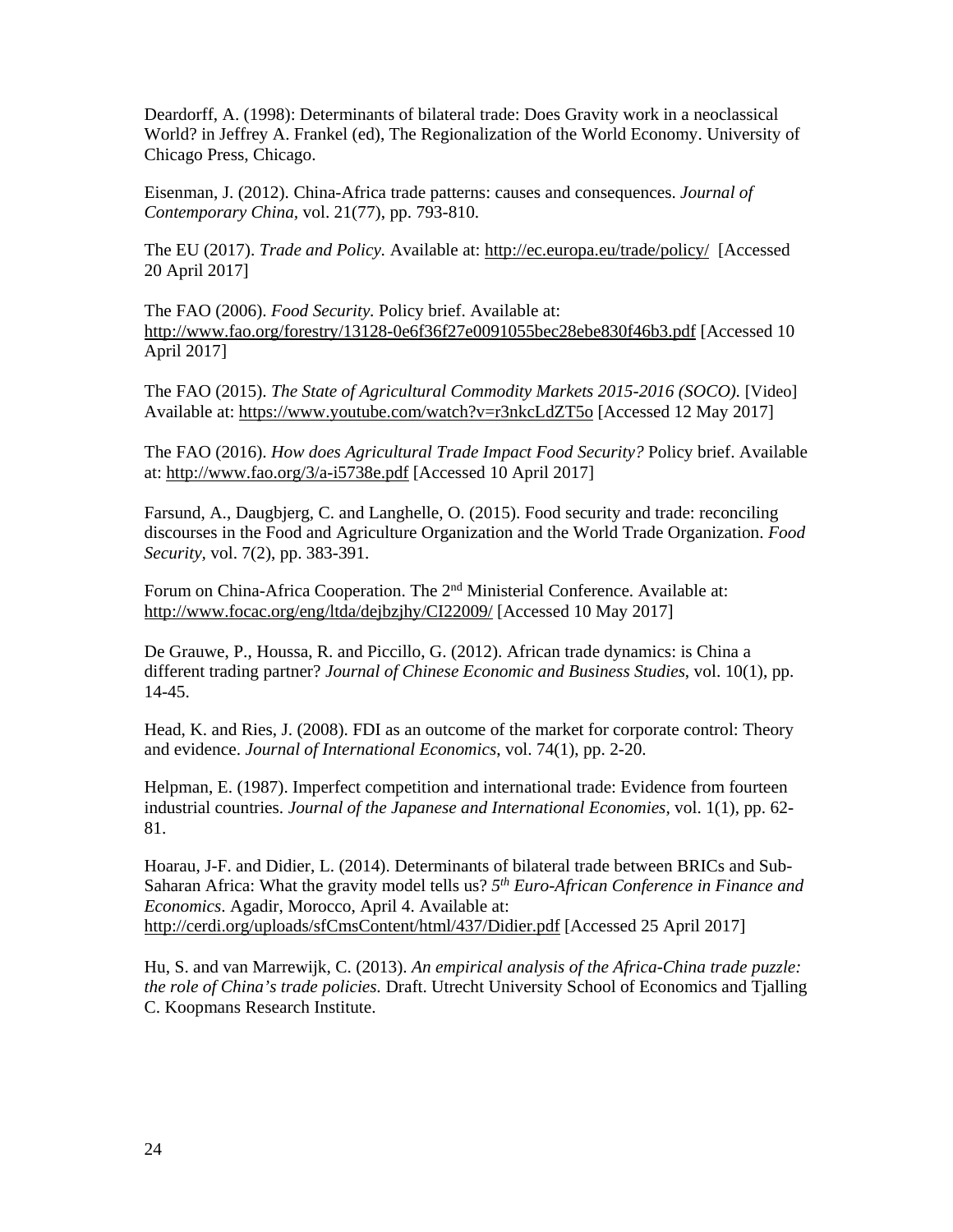Deardorff, A. (1998): Determinants of bilateral trade: Does Gravity work in a neoclassical World? in Jeffrey A. Frankel (ed), The Regionalization of the World Economy. University of Chicago Press, Chicago.

Eisenman, J. (2012). China-Africa trade patterns: causes and consequences. *Journal of Contemporary China,* vol. 21(77), pp. 793-810.

The EU (2017). *Trade and Policy.* Available at: http://ec.europa.eu/trade/policy/ [Accessed 20 April 2017]

The FAO (2006). *Food Security.* Policy brief. Available at: http://www.fao.org/forestry/13128-0e6f36f27e0091055bec28ebe830f46b3.pdf [Accessed 10 April 2017]

The FAO (2015). *The State of Agricultural Commodity Markets 2015-2016 (SOCO).* [Video] Available at: https://www.youtube.com/watch?v=r3nkcLdZT5o [Accessed 12 May 2017]

The FAO (2016). *How does Agricultural Trade Impact Food Security?* Policy brief. Available at: http://www.fao.org/3/a-i5738e.pdf [Accessed 10 April 2017]

Farsund, A., Daugbjerg, C. and Langhelle, O. (2015). Food security and trade: reconciling discourses in the Food and Agriculture Organization and the World Trade Organization. *Food Security,* vol. 7(2), pp. 383-391.

Forum on China-Africa Cooperation. The 2nd Ministerial Conference. Available at: http://www.focac.org/eng/ltda/dejbzjhy/CI22009/ [Accessed 10 May 2017]

De Grauwe, P., Houssa, R. and Piccillo, G. (2012). African trade dynamics: is China a different trading partner? *Journal of Chinese Economic and Business Studies*, vol. 10(1), pp. 14-45.

Head, K. and Ries, J. (2008). FDI as an outcome of the market for corporate control: Theory and evidence. *Journal of International Economics*, vol. 74(1), pp. 2-20.

Helpman, E. (1987). Imperfect competition and international trade: Evidence from fourteen industrial countries. *Journal of the Japanese and International Economies,* vol. 1(1), pp. 62- 81.

Hoarau, J-F. and Didier, L. (2014). Determinants of bilateral trade between BRICs and Sub-Saharan Africa: What the gravity model tells us? *5th Euro-African Conference in Finance and Economics*. Agadir, Morocco, April 4. Available at: http://cerdi.org/uploads/sfCmsContent/html/437/Didier.pdf [Accessed 25 April 2017]

Hu, S. and van Marrewijk, C. (2013). *An empirical analysis of the Africa-China trade puzzle: the role of China's trade policies.* Draft. Utrecht University School of Economics and Tjalling C. Koopmans Research Institute.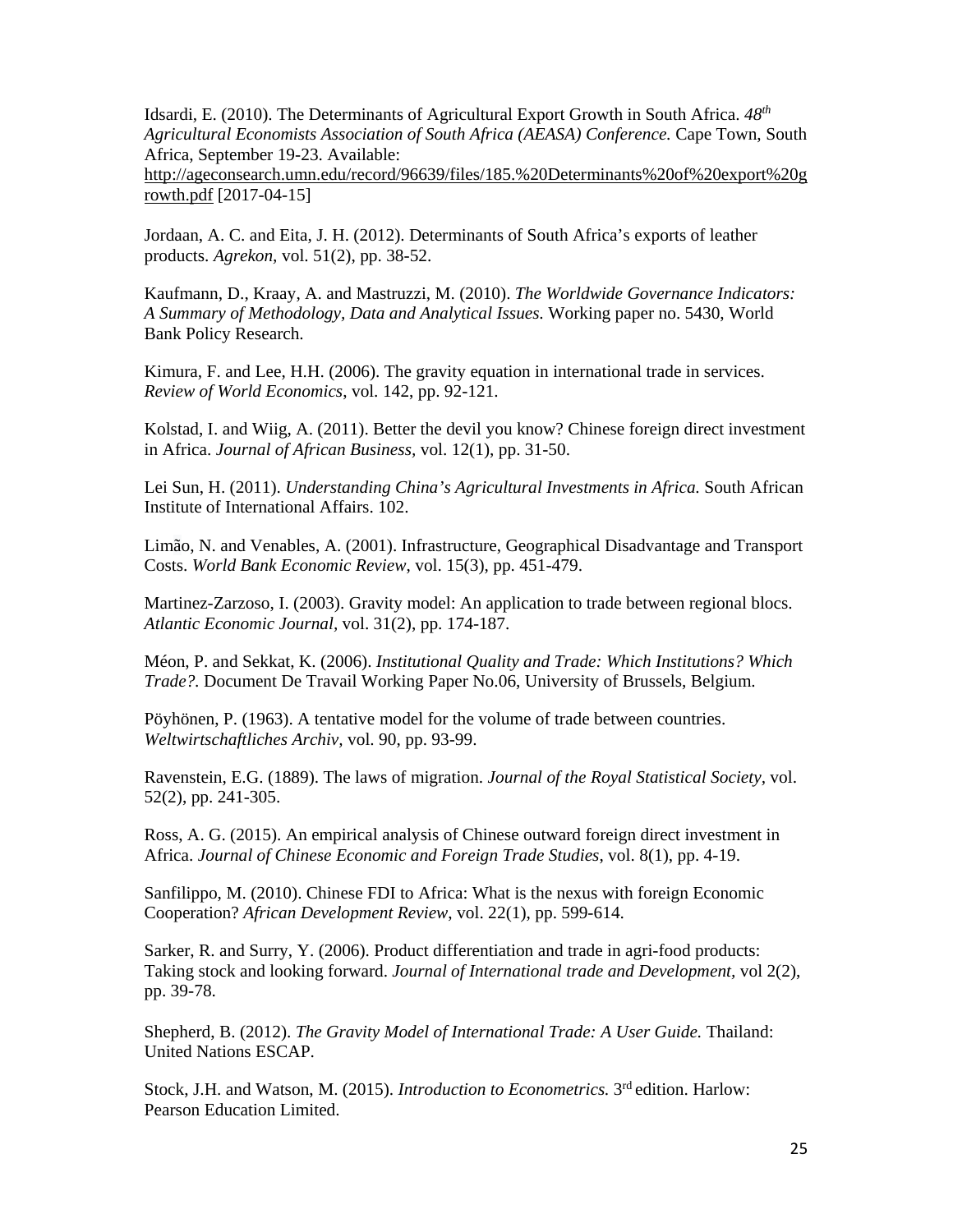Idsardi, E. (2010). The Determinants of Agricultural Export Growth in South Africa. *48th Agricultural Economists Association of South Africa (AEASA) Conference.* Cape Town, South Africa, September 19-23. Available:

http://ageconsearch.umn.edu/record/96639/files/185.%20Determinants%20of%20export%20g rowth.pdf [2017-04-15]

Jordaan, A. C. and Eita, J. H. (2012). Determinants of South Africa's exports of leather products. *Agrekon,* vol. 51(2), pp. 38-52.

Kaufmann, D., Kraay, A. and Mastruzzi, M. (2010). *The Worldwide Governance Indicators: A Summary of Methodology, Data and Analytical Issues.* Working paper no. 5430, World Bank Policy Research.

Kimura, F. and Lee, H.H. (2006). The gravity equation in international trade in services. *Review of World Economics*, vol. 142, pp. 92-121.

Kolstad, I. and Wiig, A. (2011). Better the devil you know? Chinese foreign direct investment in Africa. *Journal of African Business,* vol. 12(1), pp. 31-50.

Lei Sun, H. (2011). *Understanding China's Agricultural Investments in Africa.* South African Institute of International Affairs. 102.

Limão, N. and Venables, A. (2001). Infrastructure, Geographical Disadvantage and Transport Costs. *World Bank Economic Review*, vol. 15(3), pp. 451-479.

Martinez-Zarzoso, I. (2003). Gravity model: An application to trade between regional blocs. *Atlantic Economic Journal,* vol. 31(2), pp. 174-187.

Méon, P. and Sekkat, K. (2006). *Institutional Quality and Trade: Which Institutions? Which Trade?.* Document De Travail Working Paper No.06, University of Brussels, Belgium.

Pöyhönen, P. (1963). A tentative model for the volume of trade between countries. *Weltwirtschaftliches Archiv,* vol. 90, pp. 93-99.

Ravenstein, E.G. (1889). The laws of migration. *Journal of the Royal Statistical Society,* vol. 52(2), pp. 241-305.

Ross, A. G. (2015). An empirical analysis of Chinese outward foreign direct investment in Africa. *Journal of Chinese Economic and Foreign Trade Studies*, vol. 8(1), pp. 4-19.

Sanfilippo, M. (2010). Chinese FDI to Africa: What is the nexus with foreign Economic Cooperation? *African Development Review*, vol. 22(1), pp. 599-614.

Sarker, R. and Surry, Y. (2006). Product differentiation and trade in agri-food products: Taking stock and looking forward. *Journal of International trade and Development,* vol 2(2), pp. 39-78.

Shepherd, B. (2012). *The Gravity Model of International Trade: A User Guide.* Thailand: United Nations ESCAP.

Stock, J.H. and Watson, M. (2015). *Introduction to Econometrics.* 3rd edition. Harlow: Pearson Education Limited.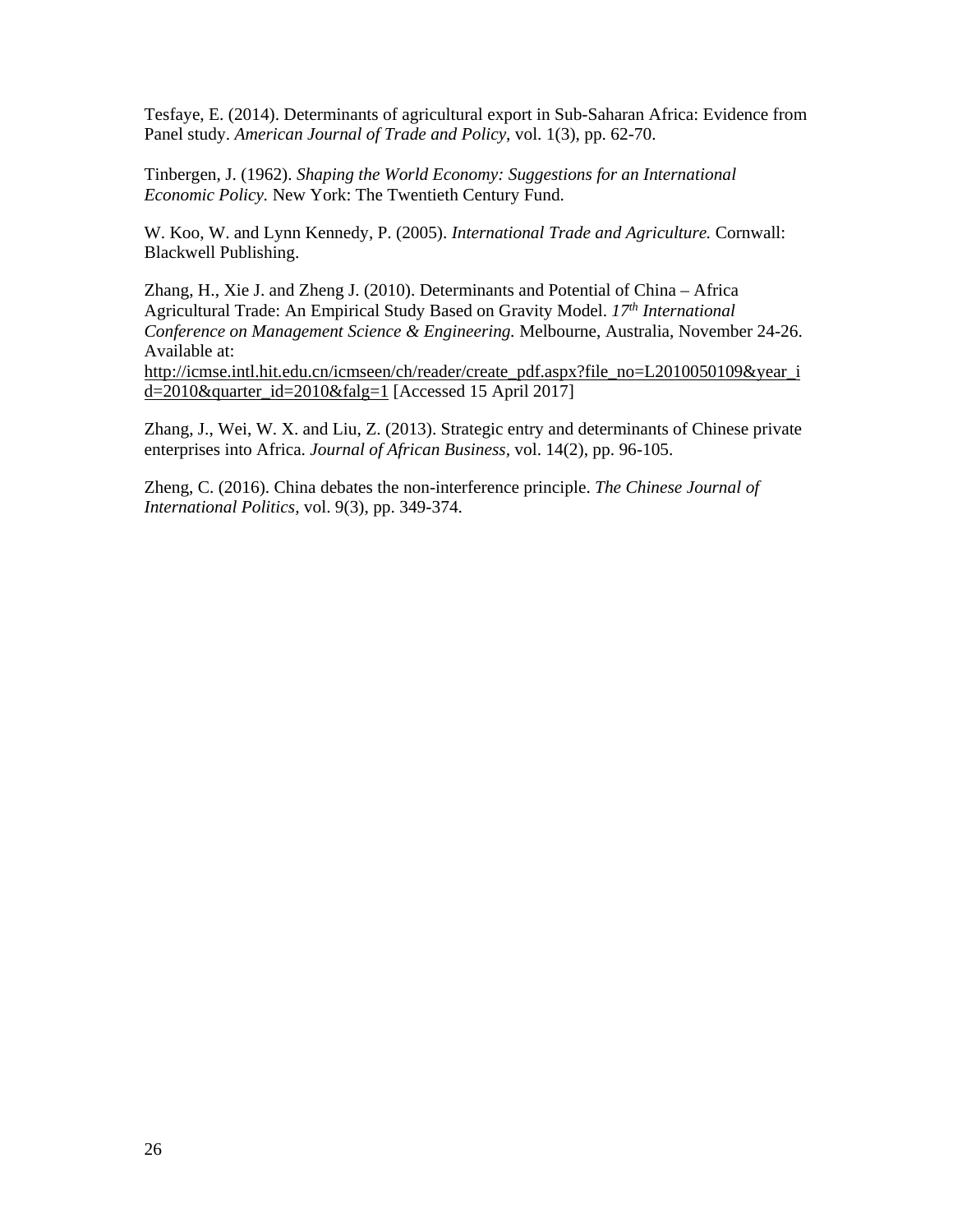Tesfaye, E. (2014). Determinants of agricultural export in Sub-Saharan Africa: Evidence from Panel study. *American Journal of Trade and Policy*, vol. 1(3), pp. 62-70.

Tinbergen, J. (1962). *Shaping the World Economy: Suggestions for an International Economic Policy.* New York: The Twentieth Century Fund.

W. Koo, W. and Lynn Kennedy, P. (2005). *International Trade and Agriculture.* Cornwall: Blackwell Publishing.

Zhang, H., Xie J. and Zheng J. (2010). Determinants and Potential of China – Africa Agricultural Trade: An Empirical Study Based on Gravity Model. *17th International Conference on Management Science & Engineering.* Melbourne, Australia, November 24-26. Available at: http://icmse.intl.hit.edu.cn/icmseen/ch/reader/create\_pdf.aspx?file\_no=L2010050109&year\_i d=2010&quarter\_id=2010&falg=1 [Accessed 15 April 2017]

Zhang, J., Wei, W. X. and Liu, Z. (2013). Strategic entry and determinants of Chinese private enterprises into Africa. *Journal of African Business,* vol. 14(2), pp. 96-105.

Zheng, C. (2016). China debates the non-interference principle. *The Chinese Journal of International Politics,* vol. 9(3), pp. 349-374.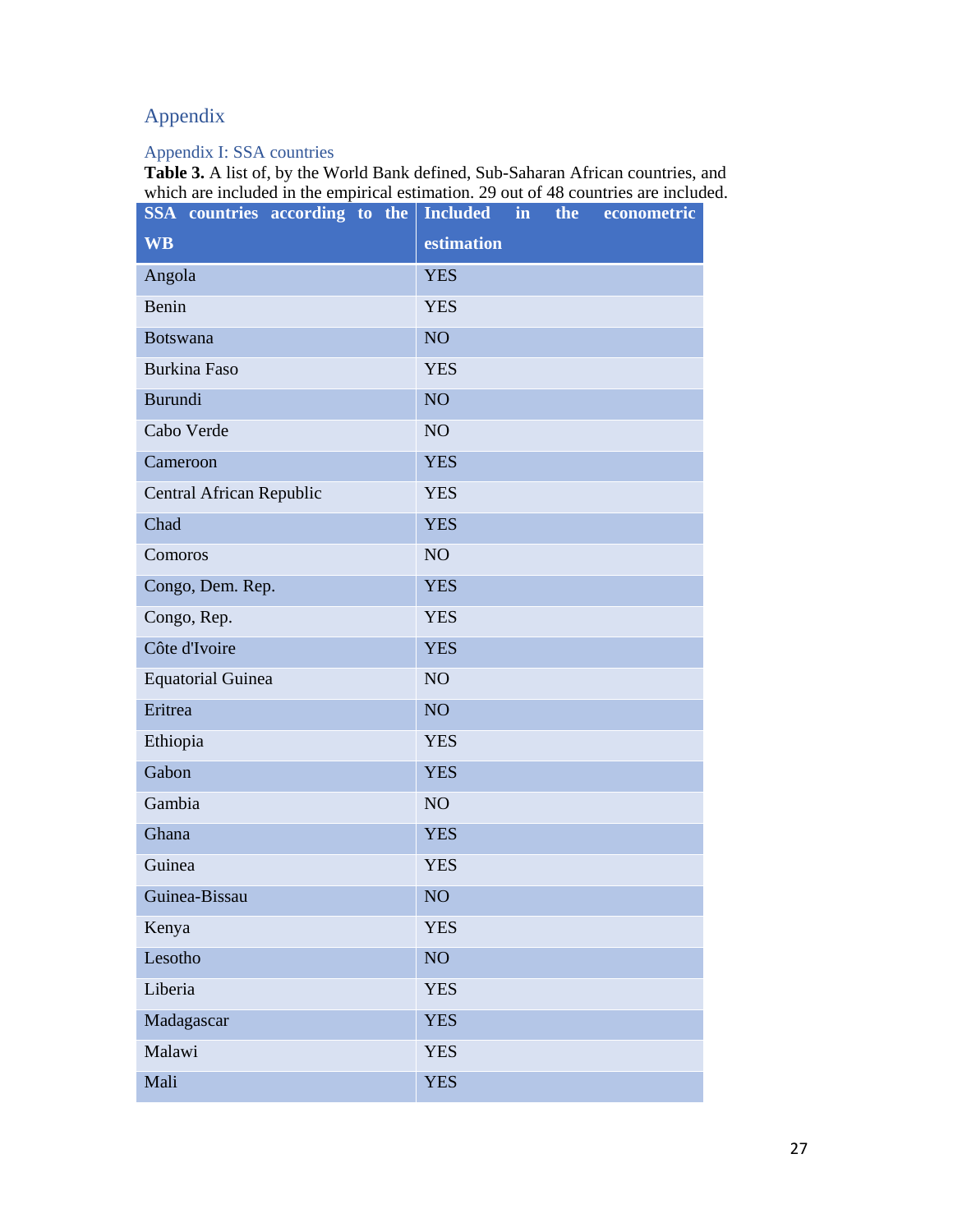# Appendix

# Appendix I: SSA countries

**Table 3.** A list of, by the World Bank defined, Sub-Saharan African countries, and which are included in the empirical estimation. 29 out of 48 countries are included.

| SSA countries according to the | <b>Included</b><br>in<br>the<br>econometric |
|--------------------------------|---------------------------------------------|
| <b>WB</b>                      | estimation                                  |
| Angola                         | <b>YES</b>                                  |
| Benin                          | <b>YES</b>                                  |
| <b>Botswana</b>                | NO <sub>1</sub>                             |
| <b>Burkina Faso</b>            | <b>YES</b>                                  |
| Burundi                        | NO <sub>1</sub>                             |
| Cabo Verde                     | NO <sub>1</sub>                             |
| Cameroon                       | <b>YES</b>                                  |
| Central African Republic       | <b>YES</b>                                  |
| Chad                           | <b>YES</b>                                  |
| Comoros                        | NO <sub>1</sub>                             |
| Congo, Dem. Rep.               | <b>YES</b>                                  |
| Congo, Rep.                    | <b>YES</b>                                  |
| Côte d'Ivoire                  | <b>YES</b>                                  |
| <b>Equatorial Guinea</b>       | NO <sub>1</sub>                             |
| Eritrea                        | NO <sub>1</sub>                             |
| Ethiopia                       | <b>YES</b>                                  |
| Gabon                          | <b>YES</b>                                  |
| Gambia                         | NO <sub>1</sub>                             |
| Ghana                          | <b>YES</b>                                  |
| Guinea                         | <b>YES</b>                                  |
| Guinea-Bissau                  | NO <sub></sub>                              |
| Kenya                          | <b>YES</b>                                  |
| Lesotho                        | NO                                          |
| Liberia                        | <b>YES</b>                                  |
| Madagascar                     | <b>YES</b>                                  |
| Malawi                         | <b>YES</b>                                  |
| Mali                           | <b>YES</b>                                  |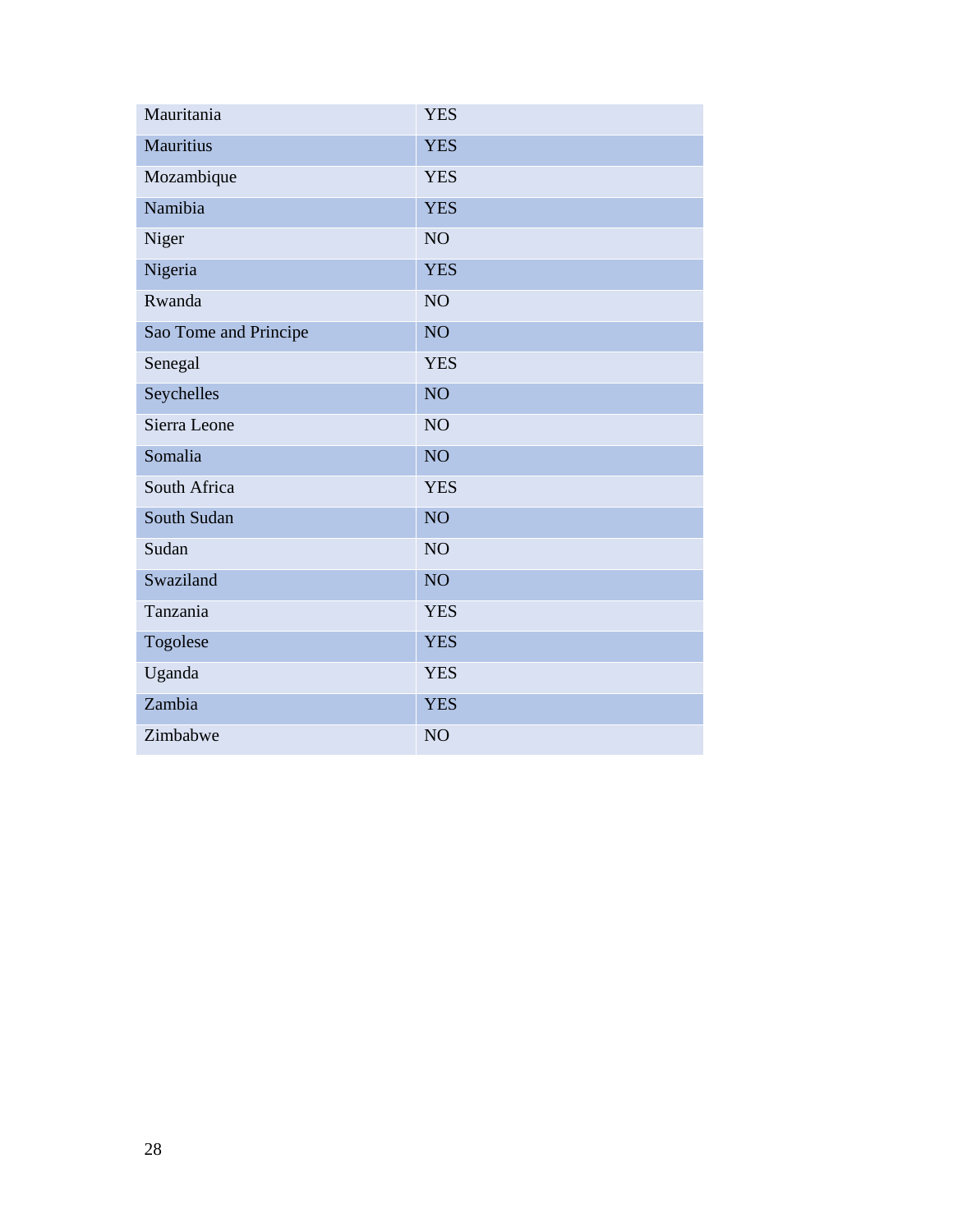| Mauritania            | <b>YES</b>      |
|-----------------------|-----------------|
| Mauritius             | <b>YES</b>      |
| Mozambique            | <b>YES</b>      |
| Namibia               | <b>YES</b>      |
| Niger                 | NO <sub>1</sub> |
| Nigeria               | <b>YES</b>      |
| Rwanda                | NO <sub>1</sub> |
| Sao Tome and Principe | NO <sub>1</sub> |
| Senegal               | <b>YES</b>      |
| Seychelles            | <b>NO</b>       |
| Sierra Leone          | NO <sub>1</sub> |
| Somalia               | <b>NO</b>       |
| South Africa          | <b>YES</b>      |
| <b>South Sudan</b>    | <b>NO</b>       |
| Sudan                 | NO <sub>1</sub> |
| Swaziland             | <b>NO</b>       |
| Tanzania              | <b>YES</b>      |
| Togolese              | <b>YES</b>      |
| Uganda                | <b>YES</b>      |
| Zambia                | <b>YES</b>      |
| Zimbabwe              | NO <sub>1</sub> |